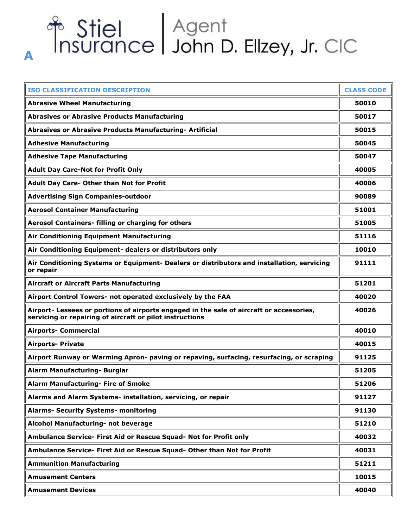# of Stiel Agent<br>Insurance John D. Ellzey, Jr. CIC

**A**

| <b>ISO CLASSIFICATION DESCRIPTION</b>                                                                                                                | <b>CLASS CODE</b> |
|------------------------------------------------------------------------------------------------------------------------------------------------------|-------------------|
| <b>Abrasive Wheel Manufacturing</b>                                                                                                                  | 50010             |
| <b>Abrasives or Abrasive Products Manufacturing</b>                                                                                                  | 50017             |
| Abrasives or Abrasive Products Manufacturing- Artificial                                                                                             | 50015             |
| <b>Adhesive Manufacturing</b>                                                                                                                        | 50045             |
| <b>Adhesive Tape Manufacturing</b>                                                                                                                   | 50047             |
| <b>Adult Day Care-Not for Profit Only</b>                                                                                                            | 40005             |
| Adult Day Care- Other than Not for Profit                                                                                                            | 40006             |
| <b>Advertising Sign Companies-outdoor</b>                                                                                                            | 90089             |
| <b>Aerosol Container Manufacturing</b>                                                                                                               | 51001             |
| Aerosol Containers- filling or charging for others                                                                                                   | 51005             |
| Air Conditioning Equipment Manufacturing                                                                                                             | 51116             |
| Air Conditioning Equipment- dealers or distributors only                                                                                             | 10010             |
| Air Conditioning Systems or Equipment- Dealers or distributors and installation, servicing<br>or repair                                              | 91111             |
| <b>Aircraft or Aircraft Parts Manufacturing</b>                                                                                                      | 51201             |
| Airport Control Towers- not operated exclusively by the FAA                                                                                          | 40020             |
| Airport- Lessees or portions of airports engaged in the sale of aircraft or accessories,<br>servicing or repairing of aircraft or pilot instructions | 40026             |
| <b>Airports- Commercial</b>                                                                                                                          | 40010             |
| <b>Airports- Private</b>                                                                                                                             | 40015             |
| Airport Runway or Warming Apron- paving or repaving, surfacing, resurfacing, or scraping                                                             | 91125             |
| Alarm Manufacturing- Burglar                                                                                                                         | 51205             |
| <b>Alarm Manufacturing- Fire of Smoke</b>                                                                                                            | 51206             |
| Alarms and Alarm Systems- installation, servicing, or repair                                                                                         | 91127             |
| <b>Alarms- Security Systems- monitoring</b>                                                                                                          | 91130             |
| Alcohol Manufacturing- not beverage                                                                                                                  | 51210             |
| Ambulance Service- First Aid or Rescue Squad- Not for Profit only                                                                                    | 40032             |
| Ambulance Service- First Aid or Rescue Squad- Other than Not for Profit                                                                              | 40031             |
| <b>Ammunition Manufacturing</b>                                                                                                                      | 51211             |
| <b>Amusement Centers</b>                                                                                                                             | 10015             |
| <b>Amusement Devices</b>                                                                                                                             | 40040             |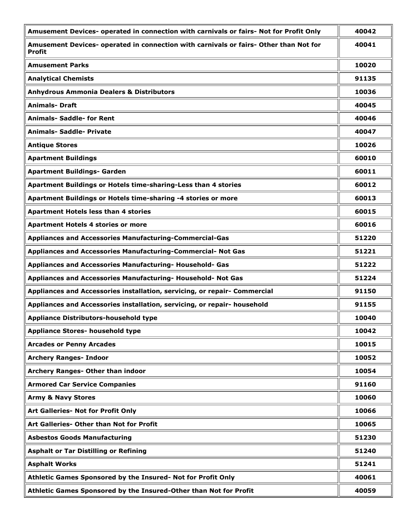| Amusement Devices- operated in connection with carnivals or fairs- Not for Profit Only          | 40042 |
|-------------------------------------------------------------------------------------------------|-------|
| Amusement Devices- operated in connection with carnivals or fairs- Other than Not for<br>Profit | 40041 |
| <b>Amusement Parks</b>                                                                          | 10020 |
| <b>Analytical Chemists</b>                                                                      | 91135 |
| <b>Anhydrous Ammonia Dealers &amp; Distributors</b>                                             | 10036 |
| <b>Animals- Draft</b>                                                                           | 40045 |
| <b>Animals- Saddle- for Rent</b>                                                                | 40046 |
| <b>Animals- Saddle- Private</b>                                                                 | 40047 |
| <b>Antique Stores</b>                                                                           | 10026 |
| <b>Apartment Buildings</b>                                                                      | 60010 |
| <b>Apartment Buildings- Garden</b>                                                              | 60011 |
| Apartment Buildings or Hotels time-sharing-Less than 4 stories                                  | 60012 |
| Apartment Buildings or Hotels time-sharing -4 stories or more                                   | 60013 |
| <b>Apartment Hotels less than 4 stories</b>                                                     | 60015 |
| <b>Apartment Hotels 4 stories or more</b>                                                       | 60016 |
| Appliances and Accessories Manufacturing-Commercial-Gas                                         | 51220 |
| Appliances and Accessories Manufacturing-Commercial- Not Gas                                    | 51221 |
| Appliances and Accessories Manufacturing- Household- Gas                                        | 51222 |
| Appliances and Accessories Manufacturing- Household- Not Gas                                    | 51224 |
| Appliances and Accessories installation, servicing, or repair- Commercial                       | 91150 |
| Appliances and Accessories installation, servicing, or repair- household                        | 91155 |
| <b>Appliance Distributors-household type</b>                                                    | 10040 |
| <b>Appliance Stores- household type</b>                                                         | 10042 |
| <b>Arcades or Penny Arcades</b>                                                                 | 10015 |
| <b>Archery Ranges- Indoor</b>                                                                   | 10052 |
| Archery Ranges- Other than indoor                                                               | 10054 |
| <b>Armored Car Service Companies</b>                                                            | 91160 |
| <b>Army &amp; Navy Stores</b>                                                                   | 10060 |
| Art Galleries- Not for Profit Only                                                              | 10066 |
| Art Galleries- Other than Not for Profit                                                        | 10065 |
| <b>Asbestos Goods Manufacturing</b>                                                             | 51230 |
| <b>Asphalt or Tar Distilling or Refining</b>                                                    | 51240 |
| <b>Asphalt Works</b>                                                                            | 51241 |
| Athletic Games Sponsored by the Insured- Not for Profit Only                                    | 40061 |
| Athletic Games Sponsored by the Insured-Other than Not for Profit                               | 40059 |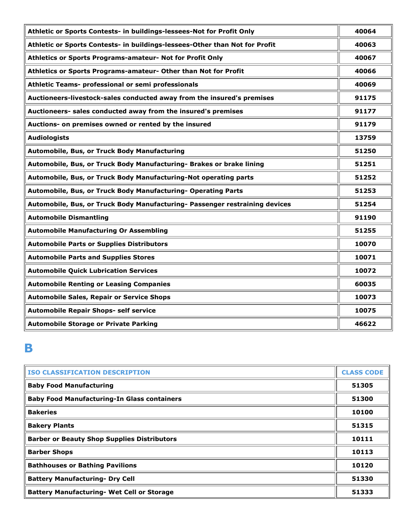| Athletic or Sports Contests- in buildings-lessees-Not for Profit Only       | 40064 |
|-----------------------------------------------------------------------------|-------|
| Athletic or Sports Contests- in buildings-lessees-Other than Not for Profit | 40063 |
| Athletics or Sports Programs-amateur- Not for Profit Only                   | 40067 |
| Athletics or Sports Programs-amateur- Other than Not for Profit             | 40066 |
| Athletic Teams- professional or semi professionals                          | 40069 |
| Auctioneers-livestock-sales conducted away from the insured's premises      | 91175 |
| Auctioneers- sales conducted away from the insured's premises               | 91177 |
| Auctions- on premises owned or rented by the insured                        | 91179 |
| <b>Audiologists</b>                                                         | 13759 |
| Automobile, Bus, or Truck Body Manufacturing                                | 51250 |
| Automobile, Bus, or Truck Body Manufacturing- Brakes or brake lining        | 51251 |
| Automobile, Bus, or Truck Body Manufacturing-Not operating parts            | 51252 |
| Automobile, Bus, or Truck Body Manufacturing- Operating Parts               | 51253 |
| Automobile, Bus, or Truck Body Manufacturing- Passenger restraining devices | 51254 |
| <b>Automobile Dismantling</b>                                               | 91190 |
| <b>Automobile Manufacturing Or Assembling</b>                               | 51255 |
| <b>Automobile Parts or Supplies Distributors</b>                            | 10070 |
| <b>Automobile Parts and Supplies Stores</b>                                 | 10071 |
| <b>Automobile Quick Lubrication Services</b>                                | 10072 |
| <b>Automobile Renting or Leasing Companies</b>                              | 60035 |
| <b>Automobile Sales, Repair or Service Shops</b>                            | 10073 |
| Automobile Repair Shops- self service                                       | 10075 |
| <b>Automobile Storage or Private Parking</b>                                | 46622 |

## **B**

| <b>ISO CLASSIFICATION DESCRIPTION</b>              | <b>CLASS CODE</b> |
|----------------------------------------------------|-------------------|
| <b>Baby Food Manufacturing</b>                     | 51305             |
| <b>Baby Food Manufacturing-In Glass containers</b> | 51300             |
| <b>Bakeries</b>                                    | 10100             |
| <b>Bakery Plants</b>                               | 51315             |
| <b>Barber or Beauty Shop Supplies Distributors</b> | 10111             |
| <b>Barber Shops</b>                                | 10113             |
| <b>Bathhouses or Bathing Pavilions</b>             | 10120             |
| <b>Battery Manufacturing- Dry Cell</b>             | 51330             |
| <b>Battery Manufacturing- Wet Cell or Storage</b>  | 51333             |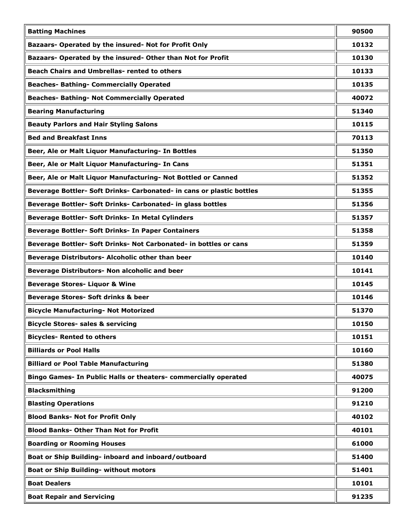| <b>Batting Machines</b>                                               | 90500 |
|-----------------------------------------------------------------------|-------|
| Bazaars- Operated by the insured- Not for Profit Only                 | 10132 |
| Bazaars- Operated by the insured- Other than Not for Profit           | 10130 |
| <b>Beach Chairs and Umbrellas- rented to others</b>                   | 10133 |
| <b>Beaches- Bathing- Commercially Operated</b>                        | 10135 |
| <b>Beaches- Bathing- Not Commercially Operated</b>                    | 40072 |
| <b>Bearing Manufacturing</b>                                          | 51340 |
| <b>Beauty Parlors and Hair Styling Salons</b>                         | 10115 |
| <b>Bed and Breakfast Inns</b>                                         | 70113 |
| Beer, Ale or Malt Liquor Manufacturing- In Bottles                    | 51350 |
| Beer, Ale or Malt Liquor Manufacturing- In Cans                       | 51351 |
| Beer, Ale or Malt Liquor Manufacturing- Not Bottled or Canned         | 51352 |
| Beverage Bottler- Soft Drinks- Carbonated- in cans or plastic bottles | 51355 |
| Beverage Bottler- Soft Drinks- Carbonated- in glass bottles           | 51356 |
| Beverage Bottler- Soft Drinks- In Metal Cylinders                     | 51357 |
| Beverage Bottler- Soft Drinks- In Paper Containers                    | 51358 |
| Beverage Bottler- Soft Drinks- Not Carbonated- in bottles or cans     | 51359 |
| Beverage Distributors- Alcoholic other than beer                      | 10140 |
| Beverage Distributors- Non alcoholic and beer                         | 10141 |
| <b>Beverage Stores- Liquor &amp; Wine</b>                             | 10145 |
| Beverage Stores- Soft drinks & beer                                   | 10146 |
| <b>Bicycle Manufacturing- Not Motorized</b>                           | 51370 |
| <b>Bicycle Stores- sales &amp; servicing</b>                          | 10150 |
| <b>Bicycles- Rented to others</b>                                     | 10151 |
| <b>Billiards or Pool Halls</b>                                        | 10160 |
| <b>Billiard or Pool Table Manufacturing</b>                           | 51380 |
| Bingo Games- In Public Halls or theaters- commercially operated       | 40075 |
| <b>Blacksmithing</b>                                                  | 91200 |
| <b>Blasting Operations</b>                                            | 91210 |
| <b>Blood Banks- Not for Profit Only</b>                               | 40102 |
| <b>Blood Banks- Other Than Not for Profit</b>                         | 40101 |
| <b>Boarding or Rooming Houses</b>                                     | 61000 |
| Boat or Ship Building- inboard and inboard/outboard                   | 51400 |
| <b>Boat or Ship Building- without motors</b>                          | 51401 |
| <b>Boat Dealers</b>                                                   | 10101 |
| <b>Boat Repair and Servicing</b>                                      | 91235 |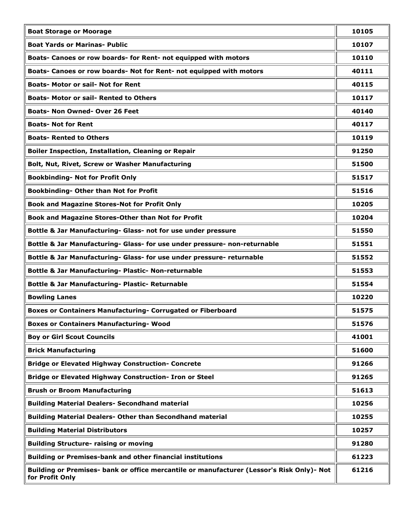| <b>Boat Storage or Moorage</b>                                                                               | 10105 |
|--------------------------------------------------------------------------------------------------------------|-------|
| <b>Boat Yards or Marinas- Public</b>                                                                         | 10107 |
| Boats- Canoes or row boards- for Rent- not equipped with motors                                              | 10110 |
| Boats- Canoes or row boards- Not for Rent- not equipped with motors                                          | 40111 |
| <b>Boats- Motor or sail- Not for Rent</b>                                                                    | 40115 |
| <b>Boats- Motor or sail- Rented to Others</b>                                                                | 10117 |
| <b>Boats- Non Owned- Over 26 Feet</b>                                                                        | 40140 |
| <b>Boats- Not for Rent</b>                                                                                   | 40117 |
| <b>Boats- Rented to Others</b>                                                                               | 10119 |
| <b>Boiler Inspection, Installation, Cleaning or Repair</b>                                                   | 91250 |
| Bolt, Nut, Rivet, Screw or Washer Manufacturing                                                              | 51500 |
| <b>Bookbinding- Not for Profit Only</b>                                                                      | 51517 |
| Bookbinding- Other than Not for Profit                                                                       | 51516 |
| <b>Book and Magazine Stores-Not for Profit Only</b>                                                          | 10205 |
| Book and Magazine Stores-Other than Not for Profit                                                           | 10204 |
| Bottle & Jar Manufacturing- Glass- not for use under pressure                                                | 51550 |
| Bottle & Jar Manufacturing- Glass- for use under pressure- non-returnable                                    | 51551 |
| Bottle & Jar Manufacturing- Glass- for use under pressure- returnable                                        | 51552 |
| Bottle & Jar Manufacturing- Plastic- Non-returnable                                                          | 51553 |
| Bottle & Jar Manufacturing- Plastic- Returnable                                                              | 51554 |
| <b>Bowling Lanes</b>                                                                                         | 10220 |
| Boxes or Containers Manufacturing- Corrugated or Fiberboard                                                  | 51575 |
| <b>Boxes or Containers Manufacturing- Wood</b>                                                               | 51576 |
| <b>Boy or Girl Scout Councils</b>                                                                            | 41001 |
| <b>Brick Manufacturing</b>                                                                                   | 51600 |
| <b>Bridge or Elevated Highway Construction- Concrete</b>                                                     | 91266 |
| Bridge or Elevated Highway Construction- Iron or Steel                                                       | 91265 |
| <b>Brush or Broom Manufacturing</b>                                                                          | 51613 |
| <b>Building Material Dealers- Secondhand material</b>                                                        | 10256 |
| <b>Building Material Dealers- Other than Secondhand material</b>                                             | 10255 |
| <b>Building Material Distributors</b>                                                                        | 10257 |
| <b>Building Structure- raising or moving</b>                                                                 | 91280 |
| Building or Premises-bank and other financial institutions                                                   | 61223 |
| Building or Premises- bank or office mercantile or manufacturer (Lessor's Risk Only)- Not<br>for Profit Only | 61216 |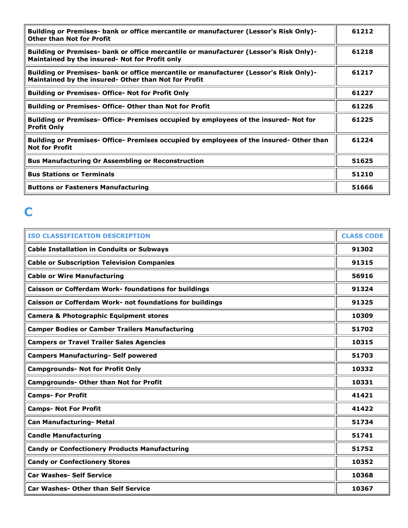| Building or Premises- bank or office mercantile or manufacturer (Lessor's Risk Only)-<br><b>Other than Not for Profit</b>                     | 61212 |
|-----------------------------------------------------------------------------------------------------------------------------------------------|-------|
| Building or Premises- bank or office mercantile or manufacturer (Lessor's Risk Only)-<br>Maintained by the insured- Not for Profit only       | 61218 |
| Building or Premises- bank or office mercantile or manufacturer (Lessor's Risk Only)-<br>Maintained by the insured- Other than Not for Profit | 61217 |
| <b>Building or Premises- Office- Not for Profit Only</b>                                                                                      | 61227 |
| <b>Building or Premises- Office- Other than Not for Profit</b>                                                                                | 61226 |
| Building or Premises- Office- Premises occupied by employees of the insured- Not for<br><b>Profit Only</b>                                    | 61225 |
| Building or Premises- Office- Premises occupied by employees of the insured- Other than<br><b>Not for Profit</b>                              | 61224 |
| <b>Bus Manufacturing Or Assembling or Reconstruction</b>                                                                                      | 51625 |
| <b>Bus Stations or Terminals</b>                                                                                                              | 51210 |
| <b>Buttons or Fasteners Manufacturing</b>                                                                                                     | 51666 |

# **C**

| <b>ISO CLASSIFICATION DESCRIPTION</b>                       | <b>CLASS CODE</b> |
|-------------------------------------------------------------|-------------------|
| <b>Cable Installation in Conduits or Subways</b>            | 91302             |
| <b>Cable or Subscription Television Companies</b>           | 91315             |
| <b>Cable or Wire Manufacturing</b>                          | 56916             |
| <b>Caisson or Cofferdam Work- foundations for buildings</b> | 91324             |
| Caisson or Cofferdam Work- not foundations for buildings    | 91325             |
| <b>Camera &amp; Photographic Equipment stores</b>           | 10309             |
| <b>Camper Bodies or Camber Trailers Manufacturing</b>       | 51702             |
| <b>Campers or Travel Trailer Sales Agencies</b>             | 10315             |
| <b>Campers Manufacturing- Self powered</b>                  | 51703             |
| <b>Campgrounds- Not for Profit Only</b>                     | 10332             |
| <b>Campgrounds- Other than Not for Profit</b>               | 10331             |
| <b>Camps- For Profit</b>                                    | 41421             |
| <b>Camps- Not For Profit</b>                                | 41422             |
| Can Manufacturing- Metal                                    | 51734             |
| <b>Candle Manufacturing</b>                                 | 51741             |
| <b>Candy or Confectionery Products Manufacturing</b>        | 51752             |
| <b>Candy or Confectionery Stores</b>                        | 10352             |
| <b>Car Washes- Self Service</b>                             | 10368             |
| <b>Car Washes- Other than Self Service</b>                  | 10367             |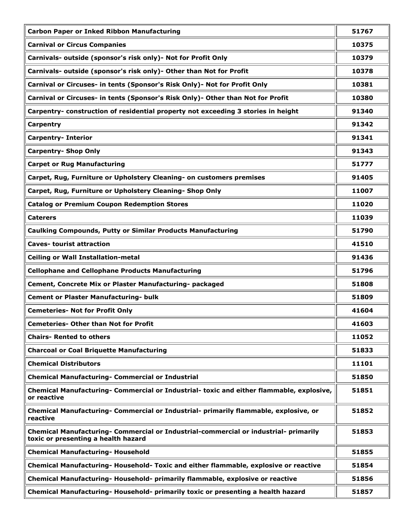| <b>Carbon Paper or Inked Ribbon Manufacturing</b>                                                                           | 51767 |
|-----------------------------------------------------------------------------------------------------------------------------|-------|
| <b>Carnival or Circus Companies</b>                                                                                         | 10375 |
| Carnivals- outside (sponsor's risk only)- Not for Profit Only                                                               | 10379 |
| Carnivals- outside (sponsor's risk only)- Other than Not for Profit                                                         | 10378 |
| Carnival or Circuses- in tents (Sponsor's Risk Only)- Not for Profit Only                                                   | 10381 |
| Carnival or Circuses- in tents (Sponsor's Risk Only)- Other than Not for Profit                                             | 10380 |
| Carpentry- construction of residential property not exceeding 3 stories in height                                           | 91340 |
| Carpentry                                                                                                                   | 91342 |
| <b>Carpentry- Interior</b>                                                                                                  | 91341 |
| <b>Carpentry- Shop Only</b>                                                                                                 | 91343 |
| <b>Carpet or Rug Manufacturing</b>                                                                                          | 51777 |
| Carpet, Rug, Furniture or Upholstery Cleaning- on customers premises                                                        | 91405 |
| Carpet, Rug, Furniture or Upholstery Cleaning- Shop Only                                                                    | 11007 |
| <b>Catalog or Premium Coupon Redemption Stores</b>                                                                          | 11020 |
| <b>Caterers</b>                                                                                                             | 11039 |
| <b>Caulking Compounds, Putty or Similar Products Manufacturing</b>                                                          | 51790 |
| <b>Caves- tourist attraction</b>                                                                                            | 41510 |
| <b>Ceiling or Wall Installation-metal</b>                                                                                   | 91436 |
| <b>Cellophane and Cellophane Products Manufacturing</b>                                                                     | 51796 |
| Cement, Concrete Mix or Plaster Manufacturing- packaged                                                                     | 51808 |
| <b>Cement or Plaster Manufacturing- bulk</b>                                                                                | 51809 |
| <b>Cemeteries- Not for Profit Only</b>                                                                                      | 41604 |
| <b>Cemeteries- Other than Not for Profit</b>                                                                                | 41603 |
| <b>Chairs- Rented to others</b>                                                                                             | 11052 |
| <b>Charcoal or Coal Briquette Manufacturing</b>                                                                             | 51833 |
| <b>Chemical Distributors</b>                                                                                                | 11101 |
| <b>Chemical Manufacturing- Commercial or Industrial</b>                                                                     | 51850 |
| Chemical Manufacturing- Commercial or Industrial- toxic and either flammable, explosive,<br>or reactive                     | 51851 |
| Chemical Manufacturing- Commercial or Industrial- primarily flammable, explosive, or<br>reactive                            | 51852 |
| Chemical Manufacturing- Commercial or Industrial-commercial or industrial- primarily<br>toxic or presenting a health hazard | 51853 |
| <b>Chemical Manufacturing- Household</b>                                                                                    | 51855 |
| Chemical Manufacturing- Household- Toxic and either flammable, explosive or reactive                                        | 51854 |
| Chemical Manufacturing- Household- primarily flammable, explosive or reactive                                               | 51856 |
| Chemical Manufacturing- Household- primarily toxic or presenting a health hazard                                            | 51857 |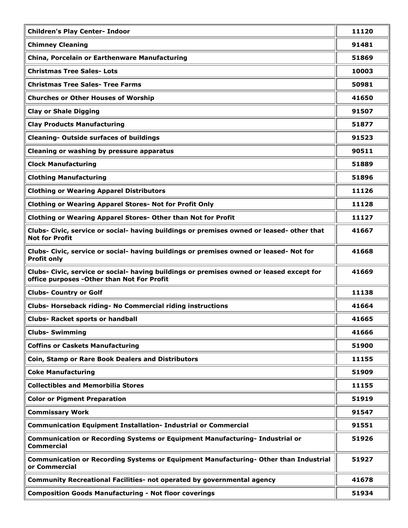| <b>Children's Play Center- Indoor</b>                                                                                                   | 11120 |
|-----------------------------------------------------------------------------------------------------------------------------------------|-------|
| <b>Chimney Cleaning</b>                                                                                                                 | 91481 |
| China, Porcelain or Earthenware Manufacturing                                                                                           | 51869 |
| <b>Christmas Tree Sales- Lots</b>                                                                                                       | 10003 |
| <b>Christmas Tree Sales- Tree Farms</b>                                                                                                 | 50981 |
| <b>Churches or Other Houses of Worship</b>                                                                                              | 41650 |
| <b>Clay or Shale Digging</b>                                                                                                            | 91507 |
| <b>Clay Products Manufacturing</b>                                                                                                      | 51877 |
| <b>Cleaning- Outside surfaces of buildings</b>                                                                                          | 91523 |
| Cleaning or washing by pressure apparatus                                                                                               | 90511 |
| <b>Clock Manufacturing</b>                                                                                                              | 51889 |
| <b>Clothing Manufacturing</b>                                                                                                           | 51896 |
| <b>Clothing or Wearing Apparel Distributors</b>                                                                                         | 11126 |
| <b>Clothing or Wearing Apparel Stores- Not for Profit Only</b>                                                                          | 11128 |
| <b>Clothing or Wearing Apparel Stores- Other than Not for Profit</b>                                                                    | 11127 |
| Clubs- Civic, service or social- having buildings or premises owned or leased- other that<br><b>Not for Profit</b>                      | 41667 |
| Clubs- Civic, service or social- having buildings or premises owned or leased- Not for<br><b>Profit only</b>                            | 41668 |
| Clubs- Civic, service or social- having buildings or premises owned or leased except for<br>office purposes - Other than Not For Profit | 41669 |
| <b>Clubs- Country or Golf</b>                                                                                                           | 11138 |
| Clubs- Horseback riding- No Commercial riding instructions                                                                              | 41664 |
| <b>Clubs- Racket sports or handball</b>                                                                                                 | 41665 |
| <b>Clubs-Swimming</b>                                                                                                                   | 41666 |
| <b>Coffins or Caskets Manufacturing</b>                                                                                                 | 51900 |
| Coin, Stamp or Rare Book Dealers and Distributors                                                                                       | 11155 |
| <b>Coke Manufacturing</b>                                                                                                               | 51909 |
| <b>Collectibles and Memorbilia Stores</b>                                                                                               | 11155 |
| <b>Color or Pigment Preparation</b>                                                                                                     | 51919 |
| <b>Commissary Work</b>                                                                                                                  | 91547 |
| <b>Communication Equipment Installation- Industrial or Commercial</b>                                                                   | 91551 |
| Communication or Recording Systems or Equipment Manufacturing- Industrial or<br><b>Commercial</b>                                       | 51926 |
| Communication or Recording Systems or Equipment Manufacturing- Other than Industrial<br>or Commercial                                   | 51927 |
| Community Recreational Facilities- not operated by governmental agency                                                                  | 41678 |
| <b>Composition Goods Manufacturing - Not floor coverings</b>                                                                            | 51934 |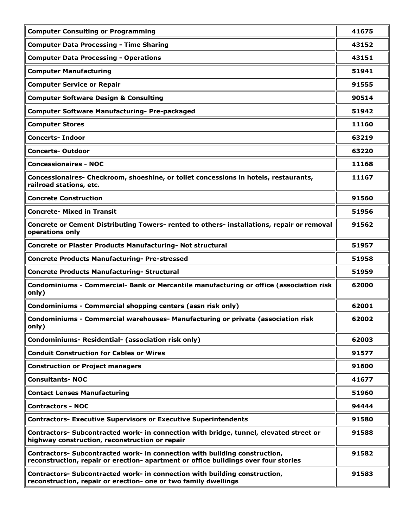| <b>Computer Consulting or Programming</b>                                                                                                                         | 41675 |
|-------------------------------------------------------------------------------------------------------------------------------------------------------------------|-------|
| <b>Computer Data Processing - Time Sharing</b>                                                                                                                    | 43152 |
| <b>Computer Data Processing - Operations</b>                                                                                                                      | 43151 |
| <b>Computer Manufacturing</b>                                                                                                                                     | 51941 |
| <b>Computer Service or Repair</b>                                                                                                                                 | 91555 |
| <b>Computer Software Design &amp; Consulting</b>                                                                                                                  | 90514 |
| <b>Computer Software Manufacturing- Pre-packaged</b>                                                                                                              | 51942 |
| <b>Computer Stores</b>                                                                                                                                            | 11160 |
| <b>Concerts-Indoor</b>                                                                                                                                            | 63219 |
| <b>Concerts-Outdoor</b>                                                                                                                                           | 63220 |
| <b>Concessionaires - NOC</b>                                                                                                                                      | 11168 |
| Concessionaires- Checkroom, shoeshine, or toilet concessions in hotels, restaurants,<br>railroad stations, etc.                                                   | 11167 |
| <b>Concrete Construction</b>                                                                                                                                      | 91560 |
| <b>Concrete- Mixed in Transit</b>                                                                                                                                 | 51956 |
| Concrete or Cement Distributing Towers- rented to others- installations, repair or removal<br>operations only                                                     | 91562 |
| Concrete or Plaster Products Manufacturing- Not structural                                                                                                        | 51957 |
| <b>Concrete Products Manufacturing- Pre-stressed</b>                                                                                                              | 51958 |
| <b>Concrete Products Manufacturing- Structural</b>                                                                                                                | 51959 |
| Condominiums - Commercial- Bank or Mercantile manufacturing or office (association risk<br>only)                                                                  | 62000 |
| Condominiums - Commercial shopping centers (assn risk only)                                                                                                       | 62001 |
| Condominiums - Commercial warehouses- Manufacturing or private (association risk<br>only)                                                                         | 62002 |
| Condominiums- Residential- (association risk only)                                                                                                                | 62003 |
| <b>Conduit Construction for Cables or Wires</b>                                                                                                                   | 91577 |
| <b>Construction or Project managers</b>                                                                                                                           | 91600 |
| <b>Consultants-NOC</b>                                                                                                                                            | 41677 |
| <b>Contact Lenses Manufacturing</b>                                                                                                                               | 51960 |
| <b>Contractors - NOC</b>                                                                                                                                          | 94444 |
| <b>Contractors- Executive Supervisors or Executive Superintendents</b>                                                                                            | 91580 |
| Contractors- Subcontracted work- in connection with bridge, tunnel, elevated street or<br>highway construction, reconstruction or repair                          | 91588 |
| Contractors- Subcontracted work- in connection with building construction,<br>reconstruction, repair or erection- apartment or office buildings over four stories | 91582 |
| Contractors- Subcontracted work- in connection with building construction,<br>reconstruction, repair or erection- one or two family dwellings                     | 91583 |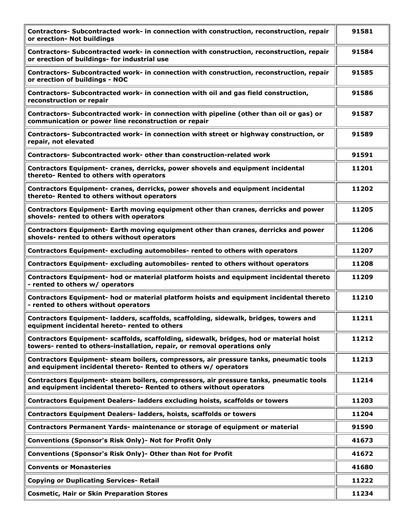| Contractors- Subcontracted work- in connection with construction, reconstruction, repair<br>or erection- Not buildings                                               | 91581 |
|----------------------------------------------------------------------------------------------------------------------------------------------------------------------|-------|
| Contractors- Subcontracted work- in connection with construction, reconstruction, repair<br>or erection of buildings- for industrial use                             | 91584 |
| Contractors- Subcontracted work- in connection with construction, reconstruction, repair<br>or erection of buildings - NOC                                           | 91585 |
| Contractors- Subcontracted work- in connection with oil and gas field construction,<br>reconstruction or repair                                                      | 91586 |
| Contractors- Subcontracted work- in connection with pipeline (other than oil or gas) or<br>communication or power line reconstruction or repair                      | 91587 |
| Contractors- Subcontracted work- in connection with street or highway construction, or<br>repair, not elevated                                                       | 91589 |
| Contractors- Subcontracted work- other than construction-related work                                                                                                | 91591 |
| Contractors Equipment- cranes, derricks, power shovels and equipment incidental<br>thereto- Rented to others with operators                                          | 11201 |
| Contractors Equipment- cranes, derricks, power shovels and equipment incidental<br>thereto- Rented to others without operators                                       | 11202 |
| Contractors Equipment- Earth moving equipment other than cranes, derricks and power<br>shovels- rented to others with operators                                      | 11205 |
| Contractors Equipment- Earth moving equipment other than cranes, derricks and power<br>shovels- rented to others without operators                                   | 11206 |
| Contractors Equipment- excluding automobiles- rented to others with operators                                                                                        | 11207 |
| Contractors Equipment- excluding automobiles- rented to others without operators                                                                                     | 11208 |
| Contractors Equipment- hod or material platform hoists and equipment incidental thereto<br>- rented to others w/ operators                                           | 11209 |
| Contractors Equipment- hod or material platform hoists and equipment incidental thereto<br>- rented to others without operators                                      | 11210 |
| Contractors Equipment- ladders, scaffolds, scaffolding, sidewalk, bridges, towers and<br>equipment incidental hereto- rented to others                               | 11211 |
| Contractors Equipment- scaffolds, scaffolding, sidewalk, bridges, hod or material hoist<br>towers- rented to others-installation, repair, or removal operations only | 11212 |
| Contractors Equipment- steam boilers, compressors, air pressure tanks, pneumatic tools<br>and equipment incidental thereto- Rented to others w/ operators            | 11213 |
| Contractors Equipment- steam boilers, compressors, air pressure tanks, pneumatic tools<br>and equipment incidental thereto- Rented to others without operators       | 11214 |
| Contractors Equipment Dealers- ladders excluding hoists, scaffolds or towers                                                                                         | 11203 |
| <b>Contractors Equipment Dealers- ladders, hoists, scaffolds or towers</b>                                                                                           | 11204 |
| Contractors Permanent Yards- maintenance or storage of equipment or material                                                                                         | 91590 |
| Conventions (Sponsor's Risk Only)- Not for Profit Only                                                                                                               | 41673 |
| Conventions (Sponsor's Risk Only)- Other than Not for Profit                                                                                                         | 41672 |
| <b>Convents or Monasteries</b>                                                                                                                                       | 41680 |
| <b>Copying or Duplicating Services- Retail</b>                                                                                                                       | 11222 |
| <b>Cosmetic, Hair or Skin Preparation Stores</b>                                                                                                                     | 11234 |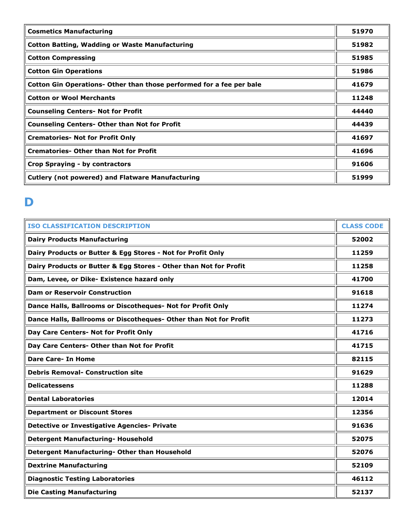| <b>Cosmetics Manufacturing</b>                                       | 51970 |
|----------------------------------------------------------------------|-------|
| <b>Cotton Batting, Wadding or Waste Manufacturing</b>                | 51982 |
| <b>Cotton Compressing</b>                                            | 51985 |
| <b>Cotton Gin Operations</b>                                         | 51986 |
| Cotton Gin Operations- Other than those performed for a fee per bale | 41679 |
| <b>Cotton or Wool Merchants</b>                                      | 11248 |
| <b>Counseling Centers- Not for Profit</b>                            | 44440 |
| <b>Counseling Centers- Other than Not for Profit</b>                 | 44439 |
| <b>Crematories- Not for Profit Only</b>                              | 41697 |
| <b>Crematories- Other than Not for Profit</b>                        | 41696 |
| Crop Spraying - by contractors                                       | 91606 |
| <b>Cutlery (not powered) and Flatware Manufacturing</b>              | 51999 |

## **D**

| <b>ISO CLASSIFICATION DESCRIPTION</b>                             | <b>CLASS CODE</b> |
|-------------------------------------------------------------------|-------------------|
| <b>Dairy Products Manufacturing</b>                               | 52002             |
| Dairy Products or Butter & Egg Stores - Not for Profit Only       | 11259             |
| Dairy Products or Butter & Egg Stores - Other than Not for Profit | 11258             |
| Dam, Levee, or Dike- Existence hazard only                        | 41700             |
| <b>Dam or Reservoir Construction</b>                              | 91618             |
| Dance Halls, Ballrooms or Discotheques- Not for Profit Only       | 11274             |
| Dance Halls, Ballrooms or Discotheques- Other than Not for Profit | 11273             |
| Day Care Centers- Not for Profit Only                             | 41716             |
| Day Care Centers- Other than Not for Profit                       | 41715             |
| <b>Dare Care- In Home</b>                                         | 82115             |
| <b>Debris Removal- Construction site</b>                          | 91629             |
| <b>Delicatessens</b>                                              | 11288             |
| <b>Dental Laboratories</b>                                        | 12014             |
| <b>Department or Discount Stores</b>                              | 12356             |
| <b>Detective or Investigative Agencies- Private</b>               | 91636             |
| <b>Detergent Manufacturing- Household</b>                         | 52075             |
| Detergent Manufacturing- Other than Household                     | 52076             |
| <b>Dextrine Manufacturing</b>                                     | 52109             |
| <b>Diagnostic Testing Laboratories</b>                            | 46112             |
| <b>Die Casting Manufacturing</b>                                  | 52137             |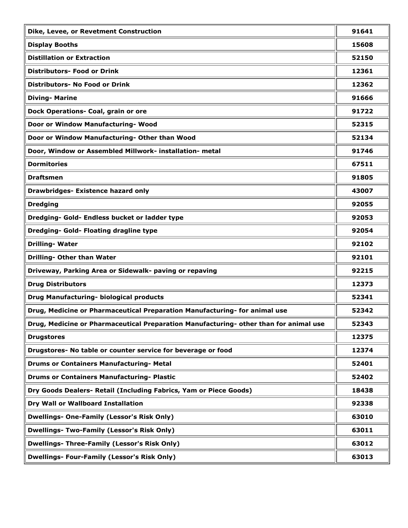| Dike, Levee, or Revetment Construction                                                | 91641 |
|---------------------------------------------------------------------------------------|-------|
| <b>Display Booths</b>                                                                 | 15608 |
| <b>Distillation or Extraction</b>                                                     | 52150 |
| <b>Distributors- Food or Drink</b>                                                    | 12361 |
| Distributors- No Food or Drink                                                        | 12362 |
| <b>Diving-Marine</b>                                                                  | 91666 |
| Dock Operations- Coal, grain or ore                                                   | 91722 |
| Door or Window Manufacturing- Wood                                                    | 52315 |
| Door or Window Manufacturing- Other than Wood                                         | 52134 |
| Door, Window or Assembled Millwork- installation- metal                               | 91746 |
| <b>Dormitories</b>                                                                    | 67511 |
| <b>Draftsmen</b>                                                                      | 91805 |
| <b>Drawbridges- Existence hazard only</b>                                             | 43007 |
| <b>Dredging</b>                                                                       | 92055 |
| Dredging- Gold- Endless bucket or ladder type                                         | 92053 |
| Dredging- Gold- Floating dragline type                                                | 92054 |
| <b>Drilling-Water</b>                                                                 | 92102 |
| <b>Drilling- Other than Water</b>                                                     | 92101 |
| Driveway, Parking Area or Sidewalk- paving or repaving                                | 92215 |
| <b>Drug Distributors</b>                                                              | 12373 |
| Drug Manufacturing- biological products                                               | 52341 |
| Drug, Medicine or Pharmaceutical Preparation Manufacturing- for animal use            | 52342 |
| Drug, Medicine or Pharmaceutical Preparation Manufacturing- other than for animal use | 52343 |
| <b>Drugstores</b>                                                                     | 12375 |
| Drugstores- No table or counter service for beverage or food                          | 12374 |
| <b>Drums or Containers Manufacturing- Metal</b>                                       | 52401 |
| <b>Drums or Containers Manufacturing- Plastic</b>                                     | 52402 |
| Dry Goods Dealers- Retail (Including Fabrics, Yam or Piece Goods)                     | 18438 |
| Dry Wall or Wallboard Installation                                                    | 92338 |
| <b>Dwellings- One-Family (Lessor's Risk Only)</b>                                     | 63010 |
| <b>Dwellings- Two-Family (Lessor's Risk Only)</b>                                     | 63011 |
| <b>Dwellings- Three-Family (Lessor's Risk Only)</b>                                   | 63012 |
| <b>Dwellings- Four-Family (Lessor's Risk Only)</b>                                    | 63013 |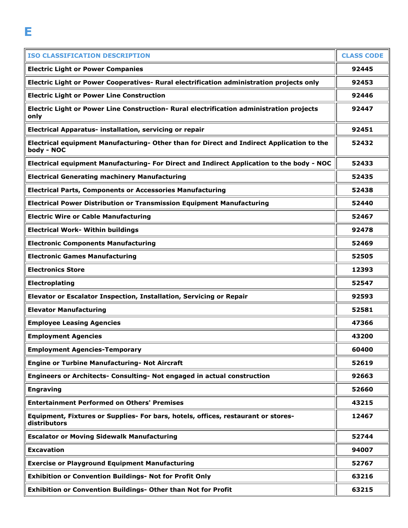| <b>ISO CLASSIFICATION DESCRIPTION</b>                                                                   | <b>CLASS CODE</b> |
|---------------------------------------------------------------------------------------------------------|-------------------|
| <b>Electric Light or Power Companies</b>                                                                | 92445             |
| Electric Light or Power Cooperatives- Rural electrification administration projects only                | 92453             |
| <b>Electric Light or Power Line Construction</b>                                                        | 92446             |
| Electric Light or Power Line Construction- Rural electrification administration projects<br>only        | 92447             |
| Electrical Apparatus- installation, servicing or repair                                                 | 92451             |
| Electrical equipment Manufacturing- Other than for Direct and Indirect Application to the<br>body - NOC | 52432             |
| Electrical equipment Manufacturing- For Direct and Indirect Application to the body - NOC               | 52433             |
| <b>Electrical Generating machinery Manufacturing</b>                                                    | 52435             |
| <b>Electrical Parts, Components or Accessories Manufacturing</b>                                        | 52438             |
| <b>Electrical Power Distribution or Transmission Equipment Manufacturing</b>                            | 52440             |
| <b>Electric Wire or Cable Manufacturing</b>                                                             | 52467             |
| <b>Electrical Work- Within buildings</b>                                                                | 92478             |
| <b>Electronic Components Manufacturing</b>                                                              | 52469             |
| <b>Electronic Games Manufacturing</b>                                                                   | 52505             |
| <b>Electronics Store</b>                                                                                | 12393             |
| Electroplating                                                                                          | 52547             |
| Elevator or Escalator Inspection, Installation, Servicing or Repair                                     | 92593             |
| <b>Elevator Manufacturing</b>                                                                           | 52581             |
| <b>Employee Leasing Agencies</b>                                                                        | 47366             |
| <b>Employment Agencies</b>                                                                              | 43200             |
| <b>Employment Agencies-Temporary</b>                                                                    | 60400             |
| <b>Engine or Turbine Manufacturing- Not Aircraft</b>                                                    | 52619             |
| Engineers or Architects- Consulting- Not engaged in actual construction                                 | 92663             |
| <b>Engraving</b>                                                                                        | 52660             |
| <b>Entertainment Performed on Others' Premises</b>                                                      | 43215             |
| Equipment, Fixtures or Supplies- For bars, hotels, offices, restaurant or stores-<br>distributors       | 12467             |
| <b>Escalator or Moving Sidewalk Manufacturing</b>                                                       | 52744             |
| <b>Excavation</b>                                                                                       | 94007             |
| <b>Exercise or Playground Equipment Manufacturing</b>                                                   | 52767             |
| Exhibition or Convention Buildings- Not for Profit Only                                                 | 63216             |
| Exhibition or Convention Buildings- Other than Not for Profit                                           | 63215             |

**E**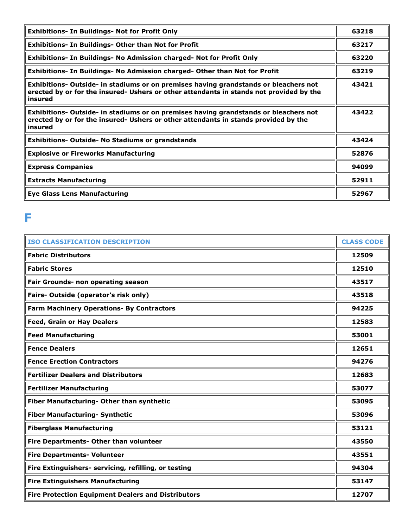| <b>Exhibitions- In Buildings- Not for Profit Only</b>                                                                                                                                      | 63218 |
|--------------------------------------------------------------------------------------------------------------------------------------------------------------------------------------------|-------|
| <b>Exhibitions- In Buildings- Other than Not for Profit</b>                                                                                                                                | 63217 |
| Exhibitions- In Buildings- No Admission charged- Not for Profit Only                                                                                                                       | 63220 |
| Exhibitions- In Buildings- No Admission charged- Other than Not for Profit                                                                                                                 | 63219 |
| Exhibitions- Outside- in stadiums or on premises having grandstands or bleachers not<br>erected by or for the insured- Ushers or other attendants in stands not provided by the<br>insured | 43421 |
| Exhibitions- Outside- in stadiums or on premises having grandstands or bleachers not<br>erected by or for the insured- Ushers or other attendants in stands provided by the<br>insured     | 43422 |
| <b>Exhibitions- Outside- No Stadiums or grandstands</b>                                                                                                                                    | 43424 |
| <b>Explosive or Fireworks Manufacturing</b>                                                                                                                                                | 52876 |
| <b>Express Companies</b>                                                                                                                                                                   | 94099 |
| <b>Extracts Manufacturing</b>                                                                                                                                                              | 52911 |
| <b>Eye Glass Lens Manufacturing</b>                                                                                                                                                        | 52967 |

#### **F**

| <b>ISO CLASSIFICATION DESCRIPTION</b>                     | <b>CLASS CODE</b> |
|-----------------------------------------------------------|-------------------|
| <b>Fabric Distributors</b>                                | 12509             |
| <b>Fabric Stores</b>                                      | 12510             |
| Fair Grounds- non operating season                        | 43517             |
| Fairs- Outside (operator's risk only)                     | 43518             |
| Farm Machinery Operations- By Contractors                 | 94225             |
| <b>Feed, Grain or Hay Dealers</b>                         | 12583             |
| <b>Feed Manufacturing</b>                                 | 53001             |
| <b>Fence Dealers</b>                                      | 12651             |
| <b>Fence Erection Contractors</b>                         | 94276             |
| <b>Fertilizer Dealers and Distributors</b>                | 12683             |
| <b>Fertilizer Manufacturing</b>                           | 53077             |
| Fiber Manufacturing- Other than synthetic                 | 53095             |
| <b>Fiber Manufacturing- Synthetic</b>                     | 53096             |
| <b>Fiberglass Manufacturing</b>                           | 53121             |
| Fire Departments- Other than volunteer                    | 43550             |
| <b>Fire Departments- Volunteer</b>                        | 43551             |
| Fire Extinguishers- servicing, refilling, or testing      | 94304             |
| <b>Fire Extinguishers Manufacturing</b>                   | 53147             |
| <b>Fire Protection Equipment Dealers and Distributors</b> | 12707             |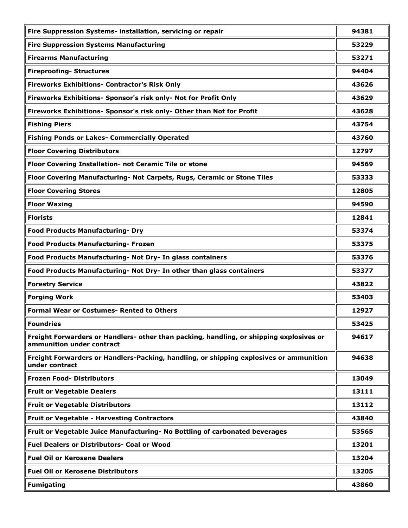| Fire Suppression Systems- installation, servicing or repair                                                          | 94381 |
|----------------------------------------------------------------------------------------------------------------------|-------|
| <b>Fire Suppression Systems Manufacturing</b>                                                                        | 53229 |
| <b>Firearms Manufacturing</b>                                                                                        | 53271 |
| <b>Fireproofing- Structures</b>                                                                                      | 94404 |
| <b>Fireworks Exhibitions- Contractor's Risk Only</b>                                                                 | 43626 |
| Fireworks Exhibitions- Sponsor's risk only- Not for Profit Only                                                      | 43629 |
| Fireworks Exhibitions- Sponsor's risk only- Other than Not for Profit                                                | 43628 |
| <b>Fishing Piers</b>                                                                                                 | 43754 |
| <b>Fishing Ponds or Lakes- Commercially Operated</b>                                                                 | 43760 |
| <b>Floor Covering Distributors</b>                                                                                   | 12797 |
| Floor Covering Installation- not Ceramic Tile or stone                                                               | 94569 |
| Floor Covering Manufacturing- Not Carpets, Rugs, Ceramic or Stone Tiles                                              | 53333 |
| <b>Floor Covering Stores</b>                                                                                         | 12805 |
| <b>Floor Waxing</b>                                                                                                  | 94590 |
| <b>Florists</b>                                                                                                      | 12841 |
| <b>Food Products Manufacturing- Dry</b>                                                                              | 53374 |
| <b>Food Products Manufacturing- Frozen</b>                                                                           | 53375 |
| Food Products Manufacturing- Not Dry- In glass containers                                                            | 53376 |
| Food Products Manufacturing- Not Dry- In other than glass containers                                                 | 53377 |
| <b>Forestry Service</b>                                                                                              | 43822 |
| <b>Forging Work</b>                                                                                                  | 53403 |
| <b>Formal Wear or Costumes- Rented to Others</b>                                                                     | 12927 |
| <b>Foundries</b>                                                                                                     | 53425 |
| Freight Forwarders or Handlers- other than packing, handling, or shipping explosives or<br>ammunition under contract | 94617 |
| Freight Forwarders or Handlers-Packing, handling, or shipping explosives or ammunition<br>under contract             | 94638 |
| <b>Frozen Food- Distributors</b>                                                                                     | 13049 |
| <b>Fruit or Vegetable Dealers</b>                                                                                    | 13111 |
| <b>Fruit or Vegetable Distributors</b>                                                                               | 13112 |
| <b>Fruit or Vegetable - Harvesting Contractors</b>                                                                   | 43840 |
| Fruit or Vegetable Juice Manufacturing- No Bottling of carbonated beverages                                          | 53565 |
| <b>Fuel Dealers or Distributors- Coal or Wood</b>                                                                    | 13201 |
| <b>Fuel Oil or Kerosene Dealers</b>                                                                                  | 13204 |
| <b>Fuel Oil or Kerosene Distributors</b>                                                                             | 13205 |
| <b>Fumigating</b>                                                                                                    | 43860 |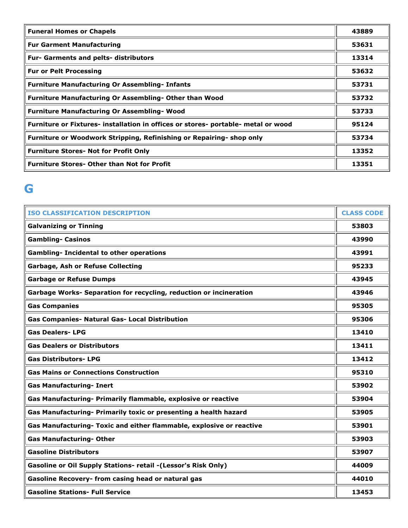| <b>Funeral Homes or Chapels</b>                                                   | 43889 |
|-----------------------------------------------------------------------------------|-------|
| <b>Fur Garment Manufacturing</b>                                                  | 53631 |
| <b>Fur- Garments and pelts- distributors</b>                                      | 13314 |
| <b>Fur or Pelt Processing</b>                                                     | 53632 |
| <b>Furniture Manufacturing Or Assembling- Infants</b>                             | 53731 |
| <b>Furniture Manufacturing Or Assembling- Other than Wood</b>                     | 53732 |
| <b>Furniture Manufacturing Or Assembling- Wood</b>                                | 53733 |
| Furniture or Fixtures- installation in offices or stores- portable- metal or wood | 95124 |
| Furniture or Woodwork Stripping, Refinishing or Repairing- shop only              | 53734 |
| <b>Furniture Stores- Not for Profit Only</b>                                      | 13352 |
| <b>Furniture Stores- Other than Not for Profit</b>                                | 13351 |

# **G**

| <b>ISO CLASSIFICATION DESCRIPTION</b>                                | <b>CLASS CODE</b> |
|----------------------------------------------------------------------|-------------------|
| <b>Galvanizing or Tinning</b>                                        | 53803             |
| <b>Gambling- Casinos</b>                                             | 43990             |
| <b>Gambling- Incidental to other operations</b>                      | 43991             |
| <b>Garbage, Ash or Refuse Collecting</b>                             | 95233             |
| <b>Garbage or Refuse Dumps</b>                                       | 43945             |
| Garbage Works- Separation for recycling, reduction or incineration   | 43946             |
| <b>Gas Companies</b>                                                 | 95305             |
| <b>Gas Companies- Natural Gas- Local Distribution</b>                | 95306             |
| <b>Gas Dealers-LPG</b>                                               | 13410             |
| <b>Gas Dealers or Distributors</b>                                   | 13411             |
| <b>Gas Distributors-LPG</b>                                          | 13412             |
| <b>Gas Mains or Connections Construction</b>                         | 95310             |
| <b>Gas Manufacturing- Inert</b>                                      | 53902             |
| Gas Manufacturing- Primarily flammable, explosive or reactive        | 53904             |
| Gas Manufacturing- Primarily toxic or presenting a health hazard     | 53905             |
| Gas Manufacturing- Toxic and either flammable, explosive or reactive | 53901             |
| <b>Gas Manufacturing- Other</b>                                      | 53903             |
| <b>Gasoline Distributors</b>                                         | 53907             |
| Gasoline or Oil Supply Stations- retail -(Lessor's Risk Only)        | 44009             |
| Gasoline Recovery- from casing head or natural gas                   | 44010             |
| <b>Gasoline Stations- Full Service</b>                               | 13453             |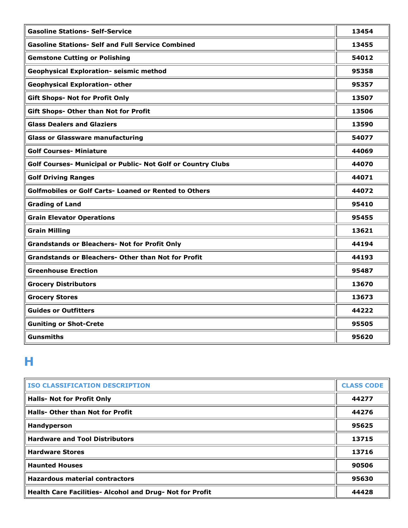| <b>Gasoline Stations- Self-Service</b>                       | 13454 |
|--------------------------------------------------------------|-------|
| <b>Gasoline Stations- Self and Full Service Combined</b>     | 13455 |
| <b>Gemstone Cutting or Polishing</b>                         | 54012 |
| <b>Geophysical Exploration- seismic method</b>               | 95358 |
| <b>Geophysical Exploration- other</b>                        | 95357 |
| <b>Gift Shops- Not for Profit Only</b>                       | 13507 |
| <b>Gift Shops- Other than Not for Profit</b>                 | 13506 |
| <b>Glass Dealers and Glaziers</b>                            | 13590 |
| <b>Glass or Glassware manufacturing</b>                      | 54077 |
| <b>Golf Courses- Miniature</b>                               | 44069 |
| Golf Courses- Municipal or Public- Not Golf or Country Clubs | 44070 |
| <b>Golf Driving Ranges</b>                                   | 44071 |
| <b>Golfmobiles or Golf Carts- Loaned or Rented to Others</b> | 44072 |
| <b>Grading of Land</b>                                       | 95410 |
| <b>Grain Elevator Operations</b>                             | 95455 |
| <b>Grain Milling</b>                                         | 13621 |
| <b>Grandstands or Bleachers- Not for Profit Only</b>         | 44194 |
| <b>Grandstands or Bleachers- Other than Not for Profit</b>   | 44193 |
| <b>Greenhouse Erection</b>                                   | 95487 |
| <b>Grocery Distributors</b>                                  | 13670 |
| <b>Grocery Stores</b>                                        | 13673 |
| <b>Guides or Outfitters</b>                                  | 44222 |
| <b>Guniting or Shot-Crete</b>                                | 95505 |
| <b>Gunsmiths</b>                                             | 95620 |

# **H**

| <b>ISO CLASSIFICATION DESCRIPTION</b>                    | <b>CLASS CODE</b> |
|----------------------------------------------------------|-------------------|
| <b>Halls- Not for Profit Only</b>                        | 44277             |
| Halls- Other than Not for Profit                         | 44276             |
| Handyperson                                              | 95625             |
| <b>Hardware and Tool Distributors</b>                    | 13715             |
| <b>Hardware Stores</b>                                   | 13716             |
| <b>Haunted Houses</b>                                    | 90506             |
| <b>Hazardous material contractors</b>                    | 95630             |
| Health Care Facilities- Alcohol and Drug- Not for Profit | 44428             |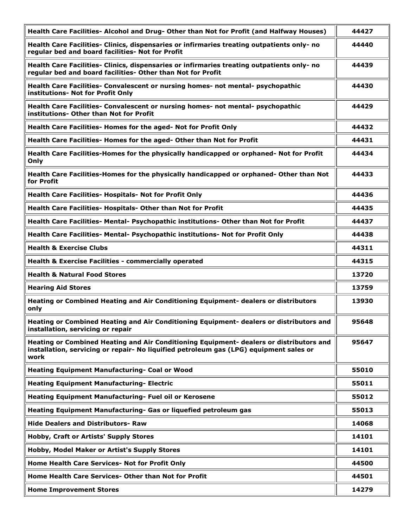| Health Care Facilities- Alcohol and Drug- Other than Not for Profit (and Halfway Houses)                                                                                                  | 44427 |
|-------------------------------------------------------------------------------------------------------------------------------------------------------------------------------------------|-------|
| Health Care Facilities- Clinics, dispensaries or infirmaries treating outpatients only- no<br>regular bed and board facilities- Not for Profit                                            | 44440 |
| Health Care Facilities- Clinics, dispensaries or infirmaries treating outpatients only- no<br>regular bed and board facilities- Other than Not for Profit                                 | 44439 |
| Health Care Facilities- Convalescent or nursing homes- not mental- psychopathic<br>institutions- Not for Profit Only                                                                      | 44430 |
| Health Care Facilities- Convalescent or nursing homes- not mental- psychopathic<br>institutions- Other than Not for Profit                                                                | 44429 |
| Health Care Facilities- Homes for the aged- Not for Profit Only                                                                                                                           | 44432 |
| Health Care Facilities- Homes for the aged- Other than Not for Profit                                                                                                                     | 44431 |
| Health Care Facilities-Homes for the physically handicapped or orphaned- Not for Profit<br>Only                                                                                           | 44434 |
| Health Care Facilities-Homes for the physically handicapped or orphaned- Other than Not<br>for Profit                                                                                     | 44433 |
| <b>Health Care Facilities- Hospitals- Not for Profit Only</b>                                                                                                                             | 44436 |
| Health Care Facilities- Hospitals- Other than Not for Profit                                                                                                                              | 44435 |
| Health Care Facilities- Mental- Psychopathic institutions- Other than Not for Profit                                                                                                      | 44437 |
| Health Care Facilities- Mental- Psychopathic institutions- Not for Profit Only                                                                                                            | 44438 |
| <b>Health &amp; Exercise Clubs</b>                                                                                                                                                        | 44311 |
| Health & Exercise Facilities - commercially operated                                                                                                                                      | 44315 |
| <b>Health &amp; Natural Food Stores</b>                                                                                                                                                   | 13720 |
| <b>Hearing Aid Stores</b>                                                                                                                                                                 | 13759 |
| Heating or Combined Heating and Air Conditioning Equipment- dealers or distributors<br>only                                                                                               | 13930 |
| Heating or Combined Heating and Air Conditioning Equipment- dealers or distributors and<br>installation, servicing or repair                                                              | 95648 |
| Heating or Combined Heating and Air Conditioning Equipment- dealers or distributors and<br>installation, servicing or repair- No liquified petroleum gas (LPG) equipment sales or<br>work | 95647 |
| Heating Equipment Manufacturing- Coal or Wood                                                                                                                                             | 55010 |
| <b>Heating Equipment Manufacturing- Electric</b>                                                                                                                                          | 55011 |
| Heating Equipment Manufacturing- Fuel oil or Kerosene                                                                                                                                     | 55012 |
| Heating Equipment Manufacturing- Gas or liquefied petroleum gas                                                                                                                           | 55013 |
| <b>Hide Dealers and Distributors- Raw</b>                                                                                                                                                 | 14068 |
| Hobby, Craft or Artists' Supply Stores                                                                                                                                                    | 14101 |
| Hobby, Model Maker or Artist's Supply Stores                                                                                                                                              | 14101 |
| Home Health Care Services- Not for Profit Only                                                                                                                                            | 44500 |
| Home Health Care Services- Other than Not for Profit                                                                                                                                      | 44501 |
| <b>Home Improvement Stores</b>                                                                                                                                                            | 14279 |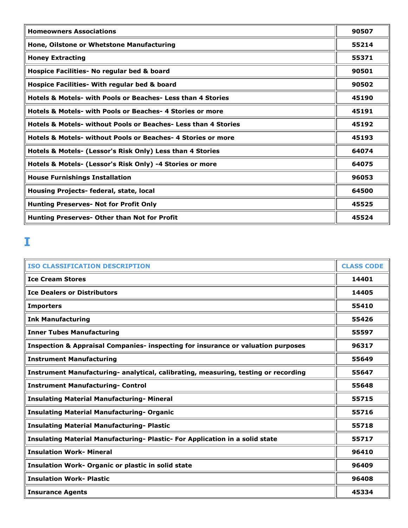| <b>Homeowners Associations</b>                                            | 90507 |
|---------------------------------------------------------------------------|-------|
| Hone, Oilstone or Whetstone Manufacturing                                 | 55214 |
| <b>Honey Extracting</b>                                                   | 55371 |
| Hospice Facilities- No regular bed & board                                | 90501 |
| Hospice Facilities- With regular bed & board                              | 90502 |
| <b>Hotels &amp; Motels- with Pools or Beaches- Less than 4 Stories</b>    | 45190 |
| <b>Hotels &amp; Motels- with Pools or Beaches-4 Stories or more</b>       | 45191 |
| <b>Hotels &amp; Motels- without Pools or Beaches- Less than 4 Stories</b> | 45192 |
| <b>Hotels &amp; Motels- without Pools or Beaches- 4 Stories or more</b>   | 45193 |
| Hotels & Motels- (Lessor's Risk Only) Less than 4 Stories                 | 64074 |
| Hotels & Motels- (Lessor's Risk Only) -4 Stories or more                  | 64075 |
| <b>House Furnishings Installation</b>                                     | 96053 |
| Housing Projects- federal, state, local                                   | 64500 |
| <b>Hunting Preserves- Not for Profit Only</b>                             | 45525 |
| Hunting Preserves- Other than Not for Profit                              | 45524 |

# **I**

| <b>ISO CLASSIFICATION DESCRIPTION</b>                                                       | <b>CLASS CODE</b> |
|---------------------------------------------------------------------------------------------|-------------------|
| <b>Ice Cream Stores</b>                                                                     | 14401             |
| <b>Ice Dealers or Distributors</b>                                                          | 14405             |
| <b>Importers</b>                                                                            | 55410             |
| <b>Ink Manufacturing</b>                                                                    | 55426             |
| <b>Inner Tubes Manufacturing</b>                                                            | 55597             |
| <b>Inspection &amp; Appraisal Companies- inspecting for insurance or valuation purposes</b> | 96317             |
| <b>Instrument Manufacturing</b>                                                             | 55649             |
| Instrument Manufacturing- analytical, calibrating, measuring, testing or recording          | 55647             |
| <b>Instrument Manufacturing- Control</b>                                                    | 55648             |
| <b>Insulating Material Manufacturing- Mineral</b>                                           | 55715             |
| <b>Insulating Material Manufacturing- Organic</b>                                           | 55716             |
| <b>Insulating Material Manufacturing- Plastic</b>                                           | 55718             |
| Insulating Material Manufacturing- Plastic- For Application in a solid state                | 55717             |
| <b>Insulation Work- Mineral</b>                                                             | 96410             |
| <b>Insulation Work- Organic or plastic in solid state</b>                                   | 96409             |
| <b>Insulation Work- Plastic</b>                                                             | 96408             |
| <b>Insurance Agents</b>                                                                     | 45334             |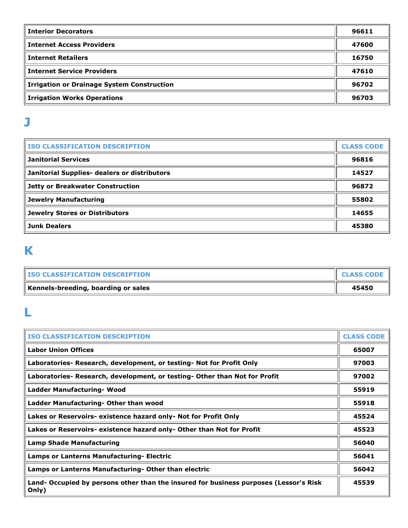| <b>Interior Decorators</b>                        | 96611 |
|---------------------------------------------------|-------|
| <b>Internet Access Providers</b>                  | 47600 |
| <b>Internet Retailers</b>                         | 16750 |
| <b>Internet Service Providers</b>                 | 47610 |
| <b>Irrigation or Drainage System Construction</b> | 96702 |
| <b>Irrigation Works Operations</b>                | 96703 |

### **J**

| <b>ISO CLASSIFICATION DESCRIPTION</b>        | <b>CLASS CODE</b> |
|----------------------------------------------|-------------------|
| <b>Janitorial Services</b>                   | 96816             |
| Janitorial Supplies- dealers or distributors | 14527             |
| Jetty or Breakwater Construction             | 96872             |
| Jewelry Manufacturing                        | 55802             |
| Jewelry Stores or Distributors               | 14655             |
| <b>Junk Dealers</b>                          | 45380             |

# **K**

| <b>ISO CLASSIFICATION DESCRIPTION</b> | <b>CLASS CODE</b> |
|---------------------------------------|-------------------|
| Kennels-breeding, boarding or sales   | 45450             |

#### **L**

| <b>ISO CLASSIFICATION DESCRIPTION</b>                                                          | <b>CLASS CODE</b> |
|------------------------------------------------------------------------------------------------|-------------------|
| <b>Labor Union Offices</b>                                                                     | 65007             |
| Laboratories- Research, development, or testing- Not for Profit Only                           | 97003             |
| Laboratories- Research, development, or testing- Other than Not for Profit                     | 97002             |
| Ladder Manufacturing- Wood                                                                     | 55919             |
| Ladder Manufacturing- Other than wood                                                          | 55918             |
| Lakes or Reservoirs- existence hazard only- Not for Profit Only                                | 45524             |
| Lakes or Reservoirs- existence hazard only- Other than Not for Profit                          | 45523             |
| <b>Lamp Shade Manufacturing</b>                                                                | 56040             |
| <b>Lamps or Lanterns Manufacturing- Electric</b>                                               | 56041             |
| Lamps or Lanterns Manufacturing- Other than electric                                           | 56042             |
| Land- Occupied by persons other than the insured for business purposes (Lessor's Risk<br>Only) | 45539             |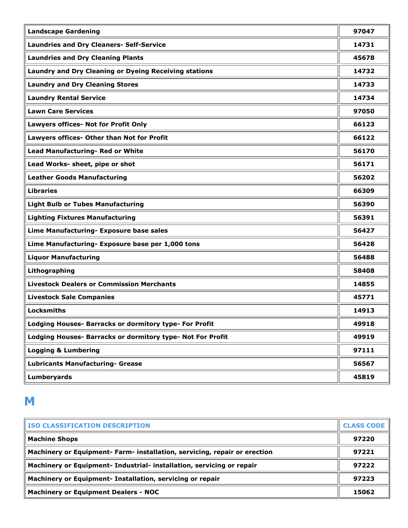| <b>Landscape Gardening</b>                                   | 97047 |
|--------------------------------------------------------------|-------|
| <b>Laundries and Dry Cleaners- Self-Service</b>              | 14731 |
| <b>Laundries and Dry Cleaning Plants</b>                     | 45678 |
| <b>Laundry and Dry Cleaning or Dyeing Receiving stations</b> | 14732 |
| <b>Laundry and Dry Cleaning Stores</b>                       | 14733 |
| <b>Laundry Rental Service</b>                                | 14734 |
| <b>Lawn Care Services</b>                                    | 97050 |
| Lawyers offices- Not for Profit Only                         | 66123 |
| Lawyers offices- Other than Not for Profit                   | 66122 |
| Lead Manufacturing- Red or White                             | 56170 |
| Lead Works- sheet, pipe or shot                              | 56171 |
| <b>Leather Goods Manufacturing</b>                           | 56202 |
| <b>Libraries</b>                                             | 66309 |
| <b>Light Bulb or Tubes Manufacturing</b>                     | 56390 |
| <b>Lighting Fixtures Manufacturing</b>                       | 56391 |
| Lime Manufacturing- Exposure base sales                      | 56427 |
| Lime Manufacturing- Exposure base per 1,000 tons             | 56428 |
| <b>Liquor Manufacturing</b>                                  | 56488 |
| Lithographing                                                | 58408 |
| <b>Livestock Dealers or Commission Merchants</b>             | 14855 |
| <b>Livestock Sale Companies</b>                              | 45771 |
| <b>Locksmiths</b>                                            | 14913 |
| Lodging Houses- Barracks or dormitory type- For Profit       | 49918 |
| Lodging Houses- Barracks or dormitory type- Not For Profit   | 49919 |
| <b>Logging &amp; Lumbering</b>                               | 97111 |
| <b>Lubricants Manufacturing- Grease</b>                      | 56567 |
| <b>Lumberyards</b>                                           | 45819 |

## **M**

| <b>ISO CLASSIFICATION DESCRIPTION</b>                                     | <b>CLASS CODE</b> |
|---------------------------------------------------------------------------|-------------------|
| <b>Machine Shops</b>                                                      | 97220             |
| Machinery or Equipment- Farm- installation, servicing, repair or erection | 97221             |
| Machinery or Equipment- Industrial- installation, servicing or repair     | 97222             |
| Machinery or Equipment- Installation, servicing or repair                 | 97223             |
| <b>Machinery or Equipment Dealers - NOC</b>                               | 15062             |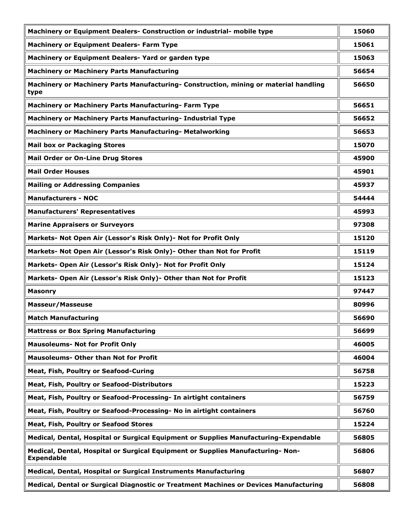| Machinery or Equipment Dealers- Construction or industrial- mobile type                              | 15060 |
|------------------------------------------------------------------------------------------------------|-------|
| <b>Machinery or Equipment Dealers- Farm Type</b>                                                     | 15061 |
| Machinery or Equipment Dealers-Yard or garden type                                                   | 15063 |
| <b>Machinery or Machinery Parts Manufacturing</b>                                                    | 56654 |
| Machinery or Machinery Parts Manufacturing- Construction, mining or material handling<br>type        | 56650 |
| Machinery or Machinery Parts Manufacturing- Farm Type                                                | 56651 |
| Machinery or Machinery Parts Manufacturing- Industrial Type                                          | 56652 |
| Machinery or Machinery Parts Manufacturing- Metalworking                                             | 56653 |
| <b>Mail box or Packaging Stores</b>                                                                  | 15070 |
| <b>Mail Order or On-Line Drug Stores</b>                                                             | 45900 |
| <b>Mail Order Houses</b>                                                                             | 45901 |
| <b>Mailing or Addressing Companies</b>                                                               | 45937 |
| <b>Manufacturers - NOC</b>                                                                           | 54444 |
| <b>Manufacturers' Representatives</b>                                                                | 45993 |
| <b>Marine Appraisers or Surveyors</b>                                                                | 97308 |
| Markets- Not Open Air (Lessor's Risk Only)- Not for Profit Only                                      | 15120 |
| Markets- Not Open Air (Lessor's Risk Only)- Other than Not for Profit                                | 15119 |
| Markets- Open Air (Lessor's Risk Only)- Not for Profit Only                                          | 15124 |
| Markets- Open Air (Lessor's Risk Only)- Other than Not for Profit                                    | 15123 |
| <b>Masonry</b>                                                                                       | 97447 |
| <b>Masseur/Masseuse</b>                                                                              | 80996 |
| <b>Match Manufacturing</b>                                                                           | 56690 |
| <b>Mattress or Box Spring Manufacturing</b>                                                          | 56699 |
| <b>Mausoleums- Not for Profit Only</b>                                                               | 46005 |
| <b>Mausoleums- Other than Not for Profit</b>                                                         | 46004 |
| Meat, Fish, Poultry or Seafood-Curing                                                                | 56758 |
| Meat, Fish, Poultry or Seafood-Distributors                                                          | 15223 |
| Meat, Fish, Poultry or Seafood-Processing- In airtight containers                                    | 56759 |
| Meat, Fish, Poultry or Seafood-Processing- No in airtight containers                                 | 56760 |
| Meat, Fish, Poultry or Seafood Stores                                                                | 15224 |
| Medical, Dental, Hospital or Surgical Equipment or Supplies Manufacturing-Expendable                 | 56805 |
| Medical, Dental, Hospital or Surgical Equipment or Supplies Manufacturing- Non-<br><b>Expendable</b> | 56806 |
| Medical, Dental, Hospital or Surgical Instruments Manufacturing                                      | 56807 |
| Medical, Dental or Surgical Diagnostic or Treatment Machines or Devices Manufacturing                | 56808 |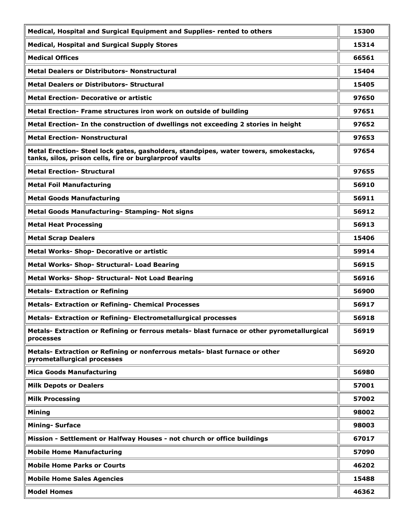| Medical, Hospital and Surgical Equipment and Supplies- rented to others                                                                         | 15300 |
|-------------------------------------------------------------------------------------------------------------------------------------------------|-------|
| <b>Medical, Hospital and Surgical Supply Stores</b>                                                                                             | 15314 |
| <b>Medical Offices</b>                                                                                                                          | 66561 |
| <b>Metal Dealers or Distributors- Nonstructural</b>                                                                                             | 15404 |
| <b>Metal Dealers or Distributors- Structural</b>                                                                                                | 15405 |
| <b>Metal Erection- Decorative or artistic</b>                                                                                                   | 97650 |
| Metal Erection- Frame structures iron work on outside of building                                                                               | 97651 |
| Metal Erection- In the construction of dwellings not exceeding 2 stories in height                                                              | 97652 |
| <b>Metal Erection- Nonstructural</b>                                                                                                            | 97653 |
| Metal Erection- Steel lock gates, gasholders, standpipes, water towers, smokestacks,<br>tanks, silos, prison cells, fire or burglarproof vaults | 97654 |
| <b>Metal Erection- Structural</b>                                                                                                               | 97655 |
| <b>Metal Foil Manufacturing</b>                                                                                                                 | 56910 |
| <b>Metal Goods Manufacturing</b>                                                                                                                | 56911 |
| Metal Goods Manufacturing- Stamping- Not signs                                                                                                  | 56912 |
| <b>Metal Heat Processing</b>                                                                                                                    | 56913 |
| <b>Metal Scrap Dealers</b>                                                                                                                      | 15406 |
| Metal Works- Shop- Decorative or artistic                                                                                                       | 59914 |
| Metal Works- Shop- Structural- Load Bearing                                                                                                     | 56915 |
| <b>Metal Works- Shop- Structural- Not Load Bearing</b>                                                                                          | 56916 |
| <b>Metals- Extraction or Refining</b>                                                                                                           | 56900 |
| <b>Metals- Extraction or Refining- Chemical Processes</b>                                                                                       | 56917 |
| Metals- Extraction or Refining- Electrometallurgical processes                                                                                  | 56918 |
| Metals- Extraction or Refining or ferrous metals- blast furnace or other pyrometallurgical<br>processes                                         | 56919 |
| Metals- Extraction or Refining or nonferrous metals- blast furnace or other<br>pyrometallurgical processes                                      | 56920 |
| <b>Mica Goods Manufacturing</b>                                                                                                                 | 56980 |
| <b>Milk Depots or Dealers</b>                                                                                                                   | 57001 |
| <b>Milk Processing</b>                                                                                                                          | 57002 |
| <b>Mining</b>                                                                                                                                   | 98002 |
| <b>Mining-Surface</b>                                                                                                                           | 98003 |
| Mission - Settlement or Halfway Houses - not church or office buildings                                                                         | 67017 |
| <b>Mobile Home Manufacturing</b>                                                                                                                | 57090 |
| <b>Mobile Home Parks or Courts</b>                                                                                                              | 46202 |
| <b>Mobile Home Sales Agencies</b>                                                                                                               | 15488 |
| <b>Model Homes</b>                                                                                                                              | 46362 |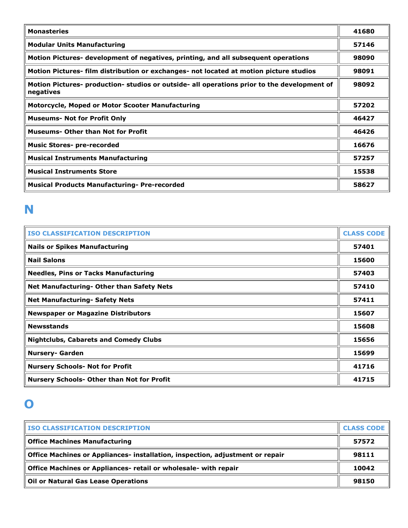| <b>Monasteries</b>                                                                                       | 41680 |
|----------------------------------------------------------------------------------------------------------|-------|
| <b>Modular Units Manufacturing</b>                                                                       | 57146 |
| Motion Pictures- development of negatives, printing, and all subsequent operations                       | 98090 |
| Motion Pictures- film distribution or exchanges- not located at motion picture studios                   | 98091 |
| Motion Pictures- production- studios or outside- all operations prior to the development of<br>negatives | 98092 |
| <b>Motorcycle, Moped or Motor Scooter Manufacturing</b>                                                  | 57202 |
| <b>Museums- Not for Profit Only</b>                                                                      | 46427 |
| <b>Museums- Other than Not for Profit</b>                                                                | 46426 |
| <b>Music Stores- pre-recorded</b>                                                                        | 16676 |
| <b>Musical Instruments Manufacturing</b>                                                                 | 57257 |
| <b>Musical Instruments Store</b>                                                                         | 15538 |
| <b>Musical Products Manufacturing- Pre-recorded</b>                                                      | 58627 |

## **N**

| <b>ISO CLASSIFICATION DESCRIPTION</b>             | <b>CLASS CODE</b> |
|---------------------------------------------------|-------------------|
| <b>Nails or Spikes Manufacturing</b>              | 57401             |
| <b>Nail Salons</b>                                | 15600             |
| <b>Needles, Pins or Tacks Manufacturing</b>       | 57403             |
| <b>Net Manufacturing- Other than Safety Nets</b>  | 57410             |
| <b>Net Manufacturing- Safety Nets</b>             | 57411             |
| <b>Newspaper or Magazine Distributors</b>         | 15607             |
| <b>Newsstands</b>                                 | 15608             |
| <b>Nightclubs, Cabarets and Comedy Clubs</b>      | 15656             |
| <b>Nursery- Garden</b>                            | 15699             |
| <b>Nursery Schools- Not for Profit</b>            | 41716             |
| <b>Nursery Schools- Other than Not for Profit</b> | 41715             |

#### **O**

| <b>ISO CLASSIFICATION DESCRIPTION</b>                                         | <b>CLASS CODE</b> |
|-------------------------------------------------------------------------------|-------------------|
| <b>Office Machines Manufacturing</b>                                          | 57572             |
| Office Machines or Appliances- installation, inspection, adjustment or repair | 98111             |
| Office Machines or Appliances- retail or wholesale- with repair               | 10042             |
| <b>Oil or Natural Gas Lease Operations</b>                                    | 98150             |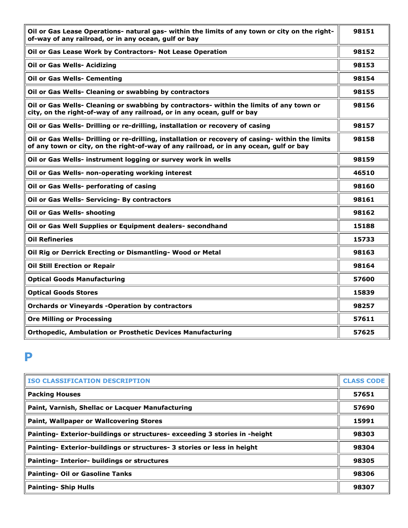| Oil or Gas Lease Operations- natural gas- within the limits of any town or city on the right-<br>of-way of any railroad, or in any ocean, gulf or bay                                      | 98151 |
|--------------------------------------------------------------------------------------------------------------------------------------------------------------------------------------------|-------|
| Oil or Gas Lease Work by Contractors- Not Lease Operation                                                                                                                                  | 98152 |
| Oil or Gas Wells- Acidizing                                                                                                                                                                | 98153 |
| <b>Oil or Gas Wells- Cementing</b>                                                                                                                                                         | 98154 |
| Oil or Gas Wells- Cleaning or swabbing by contractors                                                                                                                                      | 98155 |
| Oil or Gas Wells- Cleaning or swabbing by contractors- within the limits of any town or<br>city, on the right-of-way of any railroad, or in any ocean, gulf or bay                         | 98156 |
| Oil or Gas Wells- Drilling or re-drilling, installation or recovery of casing                                                                                                              | 98157 |
| Oil or Gas Wells- Drilling or re-drilling, installation or recovery of casing- within the limits<br>of any town or city, on the right-of-way of any railroad, or in any ocean, gulf or bay | 98158 |
| Oil or Gas Wells- instrument logging or survey work in wells                                                                                                                               | 98159 |
| Oil or Gas Wells- non-operating working interest                                                                                                                                           | 46510 |
| Oil or Gas Wells- perforating of casing                                                                                                                                                    | 98160 |
| Oil or Gas Wells- Servicing- By contractors                                                                                                                                                | 98161 |
| Oil or Gas Wells- shooting                                                                                                                                                                 | 98162 |
| Oil or Gas Well Supplies or Equipment dealers- secondhand                                                                                                                                  | 15188 |
| <b>Oil Refineries</b>                                                                                                                                                                      | 15733 |
| Oil Rig or Derrick Erecting or Dismantling- Wood or Metal                                                                                                                                  | 98163 |
| <b>Oil Still Erection or Repair</b>                                                                                                                                                        | 98164 |
| <b>Optical Goods Manufacturing</b>                                                                                                                                                         | 57600 |
| <b>Optical Goods Stores</b>                                                                                                                                                                | 15839 |
| <b>Orchards or Vineyards -Operation by contractors</b>                                                                                                                                     | 98257 |
| <b>Ore Milling or Processing</b>                                                                                                                                                           | 57611 |
| <b>Orthopedic, Ambulation or Prosthetic Devices Manufacturing</b>                                                                                                                          | 57625 |

#### **P**

| <b>ISO CLASSIFICATION DESCRIPTION</b>                                      | <b>CLASS CODE</b> |
|----------------------------------------------------------------------------|-------------------|
| <b>Packing Houses</b>                                                      | 57651             |
| Paint, Varnish, Shellac or Lacquer Manufacturing                           | 57690             |
| <b>Paint, Wallpaper or Wallcovering Stores</b>                             | 15991             |
| Painting- Exterior-buildings or structures- exceeding 3 stories in -height | 98303             |
| Painting- Exterior-buildings or structures- 3 stories or less in height    | 98304             |
| Painting- Interior- buildings or structures                                | 98305             |
| <b>Painting- Oil or Gasoline Tanks</b>                                     | 98306             |
| <b>Painting- Ship Hulls</b>                                                | 98307             |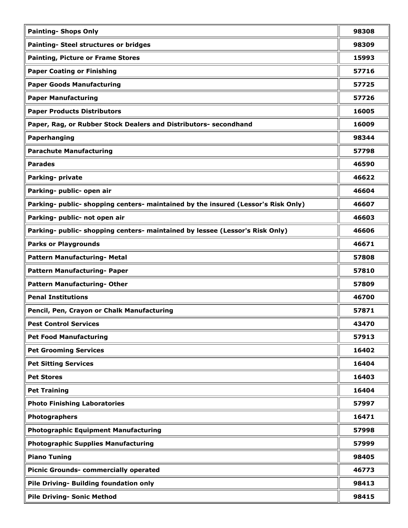| <b>Painting- Shops Only</b>                                                       | 98308 |
|-----------------------------------------------------------------------------------|-------|
| Painting- Steel structures or bridges                                             | 98309 |
| <b>Painting, Picture or Frame Stores</b>                                          | 15993 |
| <b>Paper Coating or Finishing</b>                                                 | 57716 |
| <b>Paper Goods Manufacturing</b>                                                  | 57725 |
| <b>Paper Manufacturing</b>                                                        | 57726 |
| <b>Paper Products Distributors</b>                                                | 16005 |
| Paper, Rag, or Rubber Stock Dealers and Distributors- secondhand                  | 16009 |
| Paperhanging                                                                      | 98344 |
| <b>Parachute Manufacturing</b>                                                    | 57798 |
| <b>Parades</b>                                                                    | 46590 |
| Parking- private                                                                  | 46622 |
| Parking- public- open air                                                         | 46604 |
| Parking- public- shopping centers- maintained by the insured (Lessor's Risk Only) | 46607 |
| Parking- public- not open air                                                     | 46603 |
| Parking- public- shopping centers- maintained by lessee (Lessor's Risk Only)      | 46606 |
| <b>Parks or Playgrounds</b>                                                       | 46671 |
| Pattern Manufacturing- Metal                                                      | 57808 |
| Pattern Manufacturing- Paper                                                      | 57810 |
| Pattern Manufacturing- Other                                                      | 57809 |
| <b>Penal Institutions</b>                                                         | 46700 |
| Pencil, Pen, Crayon or Chalk Manufacturing                                        | 57871 |
| <b>Pest Control Services</b>                                                      | 43470 |
| <b>Pet Food Manufacturing</b>                                                     | 57913 |
| <b>Pet Grooming Services</b>                                                      | 16402 |
| <b>Pet Sitting Services</b>                                                       | 16404 |
| <b>Pet Stores</b>                                                                 | 16403 |
| <b>Pet Training</b>                                                               | 16404 |
| <b>Photo Finishing Laboratories</b>                                               | 57997 |
| Photographers                                                                     | 16471 |
| <b>Photographic Equipment Manufacturing</b>                                       | 57998 |
| <b>Photographic Supplies Manufacturing</b>                                        | 57999 |
| <b>Piano Tuning</b>                                                               | 98405 |
| <b>Picnic Grounds- commercially operated</b>                                      | 46773 |
| Pile Driving- Building foundation only                                            | 98413 |
| <b>Pile Driving- Sonic Method</b>                                                 | 98415 |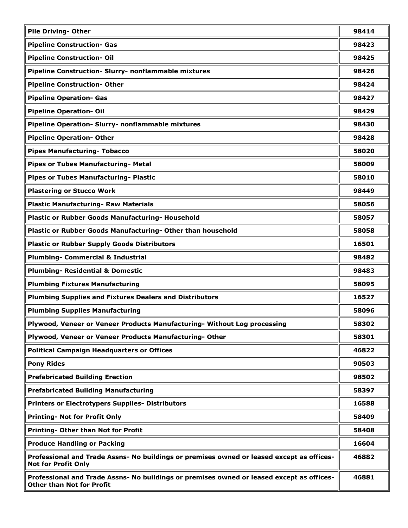| <b>Pile Driving- Other</b>                                                                                                    | 98414 |
|-------------------------------------------------------------------------------------------------------------------------------|-------|
| <b>Pipeline Construction- Gas</b>                                                                                             | 98423 |
| <b>Pipeline Construction- Oil</b>                                                                                             | 98425 |
| Pipeline Construction- Slurry- nonflammable mixtures                                                                          | 98426 |
| <b>Pipeline Construction- Other</b>                                                                                           | 98424 |
| <b>Pipeline Operation- Gas</b>                                                                                                | 98427 |
| <b>Pipeline Operation- Oil</b>                                                                                                | 98429 |
| Pipeline Operation- Slurry- nonflammable mixtures                                                                             | 98430 |
| <b>Pipeline Operation- Other</b>                                                                                              | 98428 |
| <b>Pipes Manufacturing- Tobacco</b>                                                                                           | 58020 |
| Pipes or Tubes Manufacturing- Metal                                                                                           | 58009 |
| Pipes or Tubes Manufacturing- Plastic                                                                                         | 58010 |
| <b>Plastering or Stucco Work</b>                                                                                              | 98449 |
| <b>Plastic Manufacturing- Raw Materials</b>                                                                                   | 58056 |
| Plastic or Rubber Goods Manufacturing- Household                                                                              | 58057 |
| Plastic or Rubber Goods Manufacturing- Other than household                                                                   | 58058 |
| <b>Plastic or Rubber Supply Goods Distributors</b>                                                                            | 16501 |
| <b>Plumbing- Commercial &amp; Industrial</b>                                                                                  | 98482 |
| <b>Plumbing- Residential &amp; Domestic</b>                                                                                   | 98483 |
| <b>Plumbing Fixtures Manufacturing</b>                                                                                        | 58095 |
| <b>Plumbing Supplies and Fixtures Dealers and Distributors</b>                                                                | 16527 |
| <b>Plumbing Supplies Manufacturing</b>                                                                                        | 58096 |
| Plywood, Veneer or Veneer Products Manufacturing- Without Log processing                                                      | 58302 |
| Plywood, Veneer or Veneer Products Manufacturing-Other                                                                        | 58301 |
| <b>Political Campaign Headquarters or Offices</b>                                                                             | 46822 |
| <b>Pony Rides</b>                                                                                                             | 90503 |
| <b>Prefabricated Building Erection</b>                                                                                        | 98502 |
| <b>Prefabricated Building Manufacturing</b>                                                                                   | 58397 |
| <b>Printers or Electrotypers Supplies- Distributors</b>                                                                       | 16588 |
| <b>Printing- Not for Profit Only</b>                                                                                          | 58409 |
| Printing- Other than Not for Profit                                                                                           | 58408 |
| <b>Produce Handling or Packing</b>                                                                                            | 16604 |
| Professional and Trade Assns- No buildings or premises owned or leased except as offices-<br><b>Not for Profit Only</b>       | 46882 |
| Professional and Trade Assns- No buildings or premises owned or leased except as offices-<br><b>Other than Not for Profit</b> | 46881 |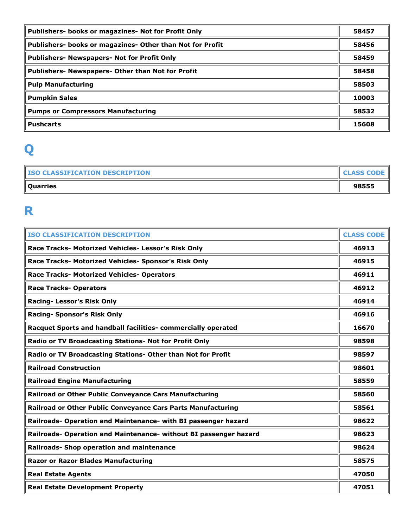| Publishers- books or magazines- Not for Profit Only       | 58457 |
|-----------------------------------------------------------|-------|
| Publishers- books or magazines- Other than Not for Profit | 58456 |
| <b>Publishers- Newspapers- Not for Profit Only</b>        | 58459 |
| Publishers- Newspapers- Other than Not for Profit         | 58458 |
| <b>Pulp Manufacturing</b>                                 | 58503 |
| <b>Pumpkin Sales</b>                                      | 10003 |
| <b>Pumps or Compressors Manufacturing</b>                 | 58532 |
| <b>Pushcarts</b>                                          | 15608 |

# **Q**

| <b>ISO CLASSIFICATION DESCRIPTION</b> | <b>CLASS CODE</b> |
|---------------------------------------|-------------------|
| <b>Quarries</b>                       | 98555             |

#### **R**

| <b>ISO CLASSIFICATION DESCRIPTION</b>                             | <b>CLASS CODE</b> |
|-------------------------------------------------------------------|-------------------|
| Race Tracks- Motorized Vehicles- Lessor's Risk Only               | 46913             |
| Race Tracks- Motorized Vehicles- Sponsor's Risk Only              | 46915             |
| Race Tracks- Motorized Vehicles- Operators                        | 46911             |
| <b>Race Tracks- Operators</b>                                     | 46912             |
| Racing- Lessor's Risk Only                                        | 46914             |
| <b>Racing- Sponsor's Risk Only</b>                                | 46916             |
| Racquet Sports and handball facilities- commercially operated     | 16670             |
| Radio or TV Broadcasting Stations- Not for Profit Only            | 98598             |
| Radio or TV Broadcasting Stations- Other than Not for Profit      | 98597             |
| <b>Railroad Construction</b>                                      | 98601             |
| <b>Railroad Engine Manufacturing</b>                              | 58559             |
| Railroad or Other Public Conveyance Cars Manufacturing            | 58560             |
| Railroad or Other Public Conveyance Cars Parts Manufacturing      | 58561             |
| Railroads- Operation and Maintenance- with BI passenger hazard    | 98622             |
| Railroads- Operation and Maintenance- without BI passenger hazard | 98623             |
| Railroads- Shop operation and maintenance                         | 98624             |
| <b>Razor or Razor Blades Manufacturing</b>                        | 58575             |
| <b>Real Estate Agents</b>                                         | 47050             |
| <b>Real Estate Development Property</b>                           | 47051             |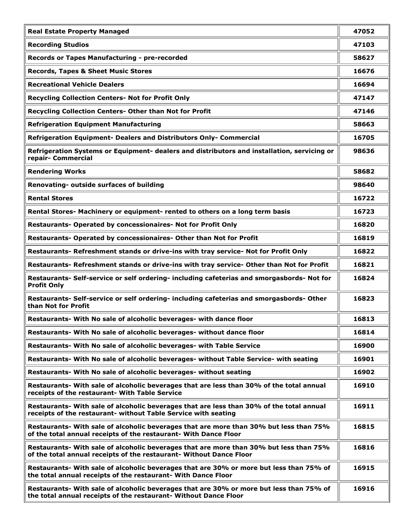| <b>Real Estate Property Managed</b>                                                                                                                           | 47052 |
|---------------------------------------------------------------------------------------------------------------------------------------------------------------|-------|
| <b>Recording Studios</b>                                                                                                                                      | 47103 |
| Records or Tapes Manufacturing - pre-recorded                                                                                                                 | 58627 |
| <b>Records, Tapes &amp; Sheet Music Stores</b>                                                                                                                | 16676 |
| <b>Recreational Vehicle Dealers</b>                                                                                                                           | 16694 |
| Recycling Collection Centers- Not for Profit Only                                                                                                             | 47147 |
| Recycling Collection Centers- Other than Not for Profit                                                                                                       | 47146 |
| <b>Refrigeration Equipment Manufacturing</b>                                                                                                                  | 58663 |
| Refrigeration Equipment- Dealers and Distributors Only- Commercial                                                                                            | 16705 |
| Refrigeration Systems or Equipment- dealers and distributors and installation, servicing or<br>repair- Commercial                                             | 98636 |
| <b>Rendering Works</b>                                                                                                                                        | 58682 |
| Renovating- outside surfaces of building                                                                                                                      | 98640 |
| <b>Rental Stores</b>                                                                                                                                          | 16722 |
| Rental Stores- Machinery or equipment- rented to others on a long term basis                                                                                  | 16723 |
| Restaurants- Operated by concessionaires- Not for Profit Only                                                                                                 | 16820 |
| Restaurants- Operated by concessionaires- Other than Not for Profit                                                                                           | 16819 |
| Restaurants- Refreshment stands or drive-ins with tray service- Not for Profit Only                                                                           | 16822 |
| Restaurants- Refreshment stands or drive-ins with tray service- Other than Not for Profit                                                                     | 16821 |
| Restaurants- Self-service or self ordering- including cafeterias and smorgasbords- Not for<br><b>Profit Only</b>                                              | 16824 |
| Restaurants- Self-service or self ordering- including cafeterias and smorgasbords- Other<br>than Not for Profit                                               | 16823 |
| Restaurants- With No sale of alcoholic beverages- with dance floor                                                                                            | 16813 |
| Restaurants- With No sale of alcoholic beverages- without dance floor                                                                                         | 16814 |
| Restaurants- With No sale of alcoholic beverages- with Table Service                                                                                          | 16900 |
| Restaurants- With No sale of alcoholic beverages- without Table Service- with seating                                                                         | 16901 |
| Restaurants- With No sale of alcoholic beverages- without seating                                                                                             | 16902 |
| Restaurants- With sale of alcoholic beverages that are less than 30% of the total annual<br>receipts of the restaurant- With Table Service                    | 16910 |
| Restaurants- With sale of alcoholic beverages that are less than 30% of the total annual<br>receipts of the restaurant- without Table Service with seating    | 16911 |
| Restaurants- With sale of alcoholic beverages that are more than 30% but less than 75%<br>of the total annual receipts of the restaurant- With Dance Floor    | 16815 |
| Restaurants- With sale of alcoholic beverages that are more than 30% but less than 75%<br>of the total annual receipts of the restaurant- Without Dance Floor | 16816 |
| Restaurants- With sale of alcoholic beverages that are 30% or more but less than 75% of<br>the total annual receipts of the restaurant- With Dance Floor      | 16915 |
| Restaurants- With sale of alcoholic beverages that are 30% or more but less than 75% of<br>the total annual receipts of the restaurant- Without Dance Floor   | 16916 |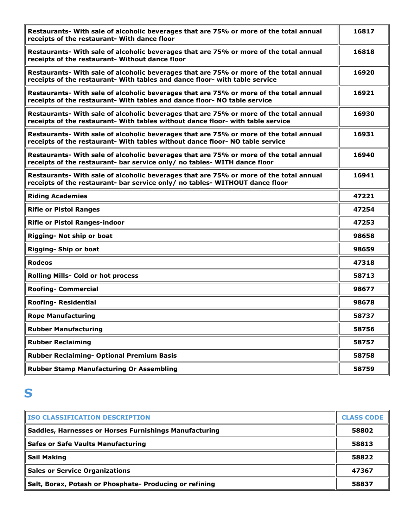| Restaurants- With sale of alcoholic beverages that are 75% or more of the total annual<br>receipts of the restaurant- With dance floor                                    | 16817 |
|---------------------------------------------------------------------------------------------------------------------------------------------------------------------------|-------|
| Restaurants- With sale of alcoholic beverages that are 75% or more of the total annual<br>receipts of the restaurant- Without dance floor                                 | 16818 |
| Restaurants- With sale of alcoholic beverages that are 75% or more of the total annual<br>receipts of the restaurant- With tables and dance floor- with table service     | 16920 |
| Restaurants- With sale of alcoholic beverages that are 75% or more of the total annual<br>receipts of the restaurant- With tables and dance floor- NO table service       | 16921 |
| Restaurants- With sale of alcoholic beverages that are 75% or more of the total annual<br>receipts of the restaurant- With tables without dance floor- with table service | 16930 |
| Restaurants- With sale of alcoholic beverages that are 75% or more of the total annual<br>receipts of the restaurant- With tables without dance floor- NO table service   | 16931 |
| Restaurants- With sale of alcoholic beverages that are 75% or more of the total annual<br>receipts of the restaurant- bar service only/ no tables- WITH dance floor       | 16940 |
| Restaurants- With sale of alcoholic beverages that are 75% or more of the total annual<br>receipts of the restaurant- bar service only/ no tables- WITHOUT dance floor    | 16941 |
| <b>Riding Academies</b>                                                                                                                                                   | 47221 |
| <b>Rifle or Pistol Ranges</b>                                                                                                                                             | 47254 |
| <b>Rifle or Pistol Ranges-indoor</b>                                                                                                                                      | 47253 |
| Rigging- Not ship or boat                                                                                                                                                 | 98658 |
| Rigging- Ship or boat                                                                                                                                                     | 98659 |
| <b>Rodeos</b>                                                                                                                                                             | 47318 |
| Rolling Mills- Cold or hot process                                                                                                                                        | 58713 |
| <b>Roofing- Commercial</b>                                                                                                                                                | 98677 |
| <b>Roofing- Residential</b>                                                                                                                                               | 98678 |
| <b>Rope Manufacturing</b>                                                                                                                                                 | 58737 |
| <b>Rubber Manufacturing</b>                                                                                                                                               | 58756 |
| <b>Rubber Reclaiming</b>                                                                                                                                                  | 58757 |
| Rubber Reclaiming- Optional Premium Basis                                                                                                                                 | 58758 |
| <b>Rubber Stamp Manufacturing Or Assembling</b>                                                                                                                           | 58759 |

#### **S**

| <b>ISO CLASSIFICATION DESCRIPTION</b>                   | <b>CLASS CODE</b> |
|---------------------------------------------------------|-------------------|
| Saddles, Harnesses or Horses Furnishings Manufacturing  | 58802             |
| <b>Safes or Safe Vaults Manufacturing</b>               | 58813             |
| <b>Sail Making</b>                                      | 58822             |
| <b>Sales or Service Organizations</b>                   | 47367             |
| Salt, Borax, Potash or Phosphate- Producing or refining | 58837             |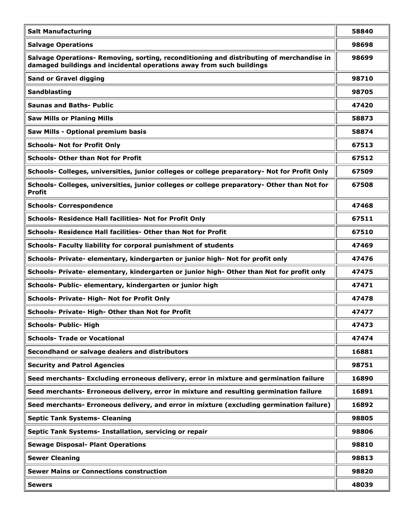| <b>Salt Manufacturing</b>                                                                                                                                        | 58840 |
|------------------------------------------------------------------------------------------------------------------------------------------------------------------|-------|
| <b>Salvage Operations</b>                                                                                                                                        | 98698 |
| Salvage Operations- Removing, sorting, reconditioning and distributing of merchandise in<br>damaged buildings and incidental operations away from such buildings | 98699 |
| <b>Sand or Gravel digging</b>                                                                                                                                    | 98710 |
| Sandblasting                                                                                                                                                     | 98705 |
| <b>Saunas and Baths- Public</b>                                                                                                                                  | 47420 |
| <b>Saw Mills or Planing Mills</b>                                                                                                                                | 58873 |
| Saw Mills - Optional premium basis                                                                                                                               | 58874 |
| <b>Schools- Not for Profit Only</b>                                                                                                                              | 67513 |
| <b>Schools- Other than Not for Profit</b>                                                                                                                        | 67512 |
| Schools- Colleges, universities, junior colleges or college preparatory- Not for Profit Only                                                                     | 67509 |
| Schools- Colleges, universities, junior colleges or college preparatory- Other than Not for<br><b>Profit</b>                                                     | 67508 |
| <b>Schools- Correspondence</b>                                                                                                                                   | 47468 |
| Schools- Residence Hall facilities- Not for Profit Only                                                                                                          | 67511 |
| Schools- Residence Hall facilities- Other than Not for Profit                                                                                                    | 67510 |
| Schools- Faculty liability for corporal punishment of students                                                                                                   | 47469 |
| Schools- Private- elementary, kindergarten or junior high- Not for profit only                                                                                   | 47476 |
| Schools- Private- elementary, kindergarten or junior high- Other than Not for profit only                                                                        | 47475 |
| Schools- Public- elementary, kindergarten or junior high                                                                                                         | 47471 |
| Schools- Private- High- Not for Profit Only                                                                                                                      | 47478 |
| Schools- Private- High- Other than Not for Profit                                                                                                                | 47477 |
| <b>Schools- Public- High</b>                                                                                                                                     | 47473 |
| <b>Schools- Trade or Vocational</b>                                                                                                                              | 47474 |
| Secondhand or salvage dealers and distributors                                                                                                                   | 16881 |
| <b>Security and Patrol Agencies</b>                                                                                                                              | 98751 |
| Seed merchants- Excluding erroneous delivery, error in mixture and germination failure                                                                           | 16890 |
| Seed merchants- Erroneous delivery, error in mixture and resulting germination failure                                                                           | 16891 |
| Seed merchants- Erroneous delivery, and error in mixture (excluding germination failure)                                                                         | 16892 |
| <b>Septic Tank Systems- Cleaning</b>                                                                                                                             | 98805 |
| Septic Tank Systems- Installation, servicing or repair                                                                                                           | 98806 |
| <b>Sewage Disposal- Plant Operations</b>                                                                                                                         | 98810 |
| <b>Sewer Cleaning</b>                                                                                                                                            | 98813 |
| <b>Sewer Mains or Connections construction</b>                                                                                                                   | 98820 |
| <b>Sewers</b>                                                                                                                                                    | 48039 |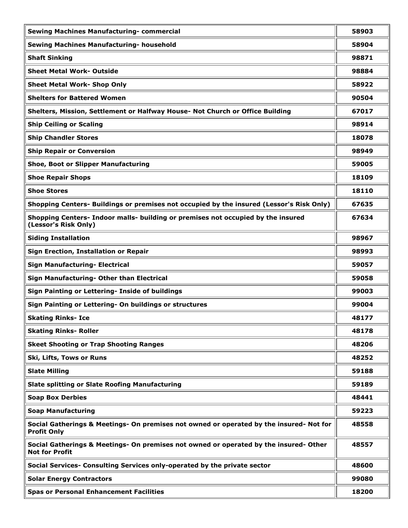| <b>Sewing Machines Manufacturing- commercial</b>                                                               | 58903 |
|----------------------------------------------------------------------------------------------------------------|-------|
| Sewing Machines Manufacturing- household                                                                       | 58904 |
| <b>Shaft Sinking</b>                                                                                           | 98871 |
| <b>Sheet Metal Work- Outside</b>                                                                               | 98884 |
| <b>Sheet Metal Work- Shop Only</b>                                                                             | 58922 |
| <b>Shelters for Battered Women</b>                                                                             | 90504 |
| Shelters, Mission, Settlement or Halfway House- Not Church or Office Building                                  | 67017 |
| <b>Ship Ceiling or Scaling</b>                                                                                 | 98914 |
| <b>Ship Chandler Stores</b>                                                                                    | 18078 |
| <b>Ship Repair or Conversion</b>                                                                               | 98949 |
| <b>Shoe, Boot or Slipper Manufacturing</b>                                                                     | 59005 |
| <b>Shoe Repair Shops</b>                                                                                       | 18109 |
| <b>Shoe Stores</b>                                                                                             | 18110 |
| Shopping Centers- Buildings or premises not occupied by the insured (Lessor's Risk Only)                       | 67635 |
| Shopping Centers- Indoor malls- building or premises not occupied by the insured<br>(Lessor's Risk Only)       | 67634 |
| <b>Siding Installation</b>                                                                                     | 98967 |
| Sign Erection, Installation or Repair                                                                          | 98993 |
| <b>Sign Manufacturing- Electrical</b>                                                                          | 59057 |
| Sign Manufacturing- Other than Electrical                                                                      | 59058 |
| Sign Painting or Lettering- Inside of buildings                                                                | 99003 |
| Sign Painting or Lettering- On buildings or structures                                                         | 99004 |
| <b>Skating Rinks- Ice</b>                                                                                      | 48177 |
| <b>Skating Rinks- Roller</b>                                                                                   | 48178 |
| <b>Skeet Shooting or Trap Shooting Ranges</b>                                                                  | 48206 |
| Ski, Lifts, Tows or Runs                                                                                       | 48252 |
| <b>Slate Milling</b>                                                                                           | 59188 |
| <b>Slate splitting or Slate Roofing Manufacturing</b>                                                          | 59189 |
| <b>Soap Box Derbies</b>                                                                                        | 48441 |
| <b>Soap Manufacturing</b>                                                                                      | 59223 |
| Social Gatherings & Meetings- On premises not owned or operated by the insured- Not for<br><b>Profit Only</b>  | 48558 |
| Social Gatherings & Meetings- On premises not owned or operated by the insured- Other<br><b>Not for Profit</b> | 48557 |
| Social Services- Consulting Services only-operated by the private sector                                       | 48600 |
| <b>Solar Energy Contractors</b>                                                                                | 99080 |
| <b>Spas or Personal Enhancement Facilities</b>                                                                 | 18200 |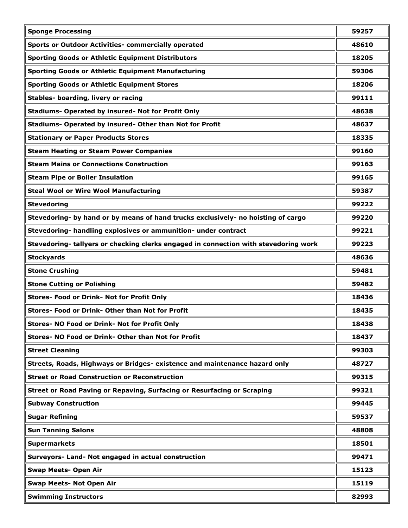| <b>Sponge Processing</b>                                                             | 59257 |
|--------------------------------------------------------------------------------------|-------|
| <b>Sports or Outdoor Activities- commercially operated</b>                           | 48610 |
| <b>Sporting Goods or Athletic Equipment Distributors</b>                             | 18205 |
| <b>Sporting Goods or Athletic Equipment Manufacturing</b>                            | 59306 |
| <b>Sporting Goods or Athletic Equipment Stores</b>                                   | 18206 |
| Stables- boarding, livery or racing                                                  | 99111 |
| Stadiums- Operated by insured- Not for Profit Only                                   | 48638 |
| Stadiums- Operated by insured- Other than Not for Profit                             | 48637 |
| <b>Stationary or Paper Products Stores</b>                                           | 18335 |
| <b>Steam Heating or Steam Power Companies</b>                                        | 99160 |
| <b>Steam Mains or Connections Construction</b>                                       | 99163 |
| <b>Steam Pipe or Boiler Insulation</b>                                               | 99165 |
| <b>Steal Wool or Wire Wool Manufacturing</b>                                         | 59387 |
| <b>Stevedoring</b>                                                                   | 99222 |
| Stevedoring- by hand or by means of hand trucks exclusively- no hoisting of cargo    | 99220 |
| Stevedoring- handling explosives or ammunition- under contract                       | 99221 |
| Stevedoring- tallyers or checking clerks engaged in connection with stevedoring work | 99223 |
| <b>Stockyards</b>                                                                    | 48636 |
| <b>Stone Crushing</b>                                                                | 59481 |
| <b>Stone Cutting or Polishing</b>                                                    | 59482 |
| Stores- Food or Drink- Not for Profit Only                                           | 18436 |
| Stores- Food or Drink- Other than Not for Profit                                     | 18435 |
| Stores- NO Food or Drink- Not for Profit Only                                        | 18438 |
| Stores- NO Food or Drink- Other than Not for Profit                                  | 18437 |
| <b>Street Cleaning</b>                                                               | 99303 |
| Streets, Roads, Highways or Bridges- existence and maintenance hazard only           | 48727 |
| <b>Street or Road Construction or Reconstruction</b>                                 | 99315 |
| Street or Road Paving or Repaving, Surfacing or Resurfacing or Scraping              | 99321 |
| <b>Subway Construction</b>                                                           | 99445 |
| <b>Sugar Refining</b>                                                                | 59537 |
| <b>Sun Tanning Salons</b>                                                            | 48808 |
| <b>Supermarkets</b>                                                                  | 18501 |
| Surveyors- Land- Not engaged in actual construction                                  | 99471 |
| <b>Swap Meets- Open Air</b>                                                          | 15123 |
| <b>Swap Meets- Not Open Air</b>                                                      | 15119 |
| <b>Swimming Instructors</b>                                                          | 82993 |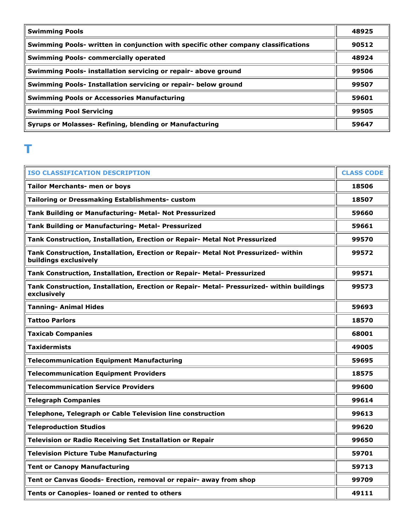| <b>Swimming Pools</b>                                                              | 48925 |
|------------------------------------------------------------------------------------|-------|
| Swimming Pools- written in conjunction with specific other company classifications | 90512 |
| <b>Swimming Pools- commercially operated</b>                                       | 48924 |
| Swimming Pools- installation servicing or repair- above ground                     | 99506 |
| Swimming Pools- Installation servicing or repair- below ground                     | 99507 |
| <b>Swimming Pools or Accessories Manufacturing</b>                                 | 59601 |
| <b>Swimming Pool Servicing</b>                                                     | 99505 |
| Syrups or Molasses- Refining, blending or Manufacturing                            | 59647 |

#### **T**

| <b>ISO CLASSIFICATION DESCRIPTION</b>                                                                       | <b>CLASS CODE</b> |
|-------------------------------------------------------------------------------------------------------------|-------------------|
| <b>Tailor Merchants- men or boys</b>                                                                        | 18506             |
| Tailoring or Dressmaking Establishments- custom                                                             | 18507             |
| Tank Building or Manufacturing- Metal- Not Pressurized                                                      | 59660             |
| Tank Building or Manufacturing- Metal- Pressurized                                                          | 59661             |
| Tank Construction, Installation, Erection or Repair- Metal Not Pressurized                                  | 99570             |
| Tank Construction, Installation, Erection or Repair- Metal Not Pressurized- within<br>buildings exclusively | 99572             |
| Tank Construction, Installation, Erection or Repair- Metal- Pressurized                                     | 99571             |
| Tank Construction, Installation, Erection or Repair- Metal- Pressurized- within buildings<br>exclusively    | 99573             |
| <b>Tanning- Animal Hides</b>                                                                                | 59693             |
| <b>Tattoo Parlors</b>                                                                                       | 18570             |
| <b>Taxicab Companies</b>                                                                                    | 68001             |
| <b>Taxidermists</b>                                                                                         | 49005             |
| <b>Telecommunication Equipment Manufacturing</b>                                                            | 59695             |
| <b>Telecommunication Equipment Providers</b>                                                                | 18575             |
| <b>Telecommunication Service Providers</b>                                                                  | 99600             |
| <b>Telegraph Companies</b>                                                                                  | 99614             |
| Telephone, Telegraph or Cable Television line construction                                                  | 99613             |
| <b>Teleproduction Studios</b>                                                                               | 99620             |
| Television or Radio Receiving Set Installation or Repair                                                    | 99650             |
| <b>Television Picture Tube Manufacturing</b>                                                                | 59701             |
| <b>Tent or Canopy Manufacturing</b>                                                                         | 59713             |
| Tent or Canvas Goods- Erection, removal or repair- away from shop                                           | 99709             |
| Tents or Canopies- loaned or rented to others                                                               | 49111             |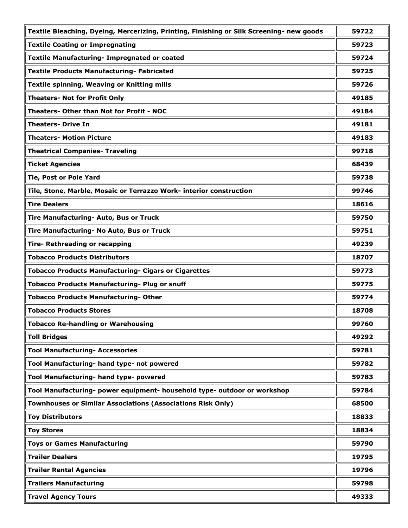| Textile Bleaching, Dyeing, Mercerizing, Printing, Finishing or Silk Screening- new goods | 59722 |
|------------------------------------------------------------------------------------------|-------|
| <b>Textile Coating or Impregnating</b>                                                   | 59723 |
| Textile Manufacturing- Impregnated or coated                                             | 59724 |
| <b>Textile Products Manufacturing- Fabricated</b>                                        | 59725 |
| Textile spinning, Weaving or Knitting mills                                              | 59726 |
| <b>Theaters- Not for Profit Only</b>                                                     | 49185 |
| Theaters- Other than Not for Profit - NOC                                                | 49184 |
| <b>Theaters- Drive In</b>                                                                | 49181 |
| <b>Theaters- Motion Picture</b>                                                          | 49183 |
| <b>Theatrical Companies- Traveling</b>                                                   | 99718 |
| <b>Ticket Agencies</b>                                                                   | 68439 |
| Tie, Post or Pole Yard                                                                   | 59738 |
| Tile, Stone, Marble, Mosaic or Terrazzo Work- interior construction                      | 99746 |
| <b>Tire Dealers</b>                                                                      | 18616 |
| Tire Manufacturing- Auto, Bus or Truck                                                   | 59750 |
| Tire Manufacturing- No Auto, Bus or Truck                                                | 59751 |
| Tire- Rethreading or recapping                                                           | 49239 |
| <b>Tobacco Products Distributors</b>                                                     | 18707 |
| <b>Tobacco Products Manufacturing- Cigars or Cigarettes</b>                              | 59773 |
| Tobacco Products Manufacturing- Plug or snuff                                            | 59775 |
| <b>Tobacco Products Manufacturing- Other</b>                                             | 59774 |
| <b>Tobacco Products Stores</b>                                                           | 18708 |
| <b>Tobacco Re-handling or Warehousing</b>                                                | 99760 |
| <b>Toll Bridges</b>                                                                      | 49292 |
| <b>Tool Manufacturing- Accessories</b>                                                   | 59781 |
| Tool Manufacturing- hand type- not powered                                               | 59782 |
| Tool Manufacturing- hand type- powered                                                   | 59783 |
| Tool Manufacturing- power equipment- household type- outdoor or workshop                 | 59784 |
| <b>Townhouses or Similar Associations (Associations Risk Only)</b>                       | 68500 |
| <b>Toy Distributors</b>                                                                  | 18833 |
| <b>Toy Stores</b>                                                                        | 18834 |
| <b>Toys or Games Manufacturing</b>                                                       | 59790 |
| <b>Trailer Dealers</b>                                                                   | 19795 |
| <b>Trailer Rental Agencies</b>                                                           | 19796 |
| <b>Trailers Manufacturing</b>                                                            | 59798 |
| <b>Travel Agency Tours</b>                                                               | 49333 |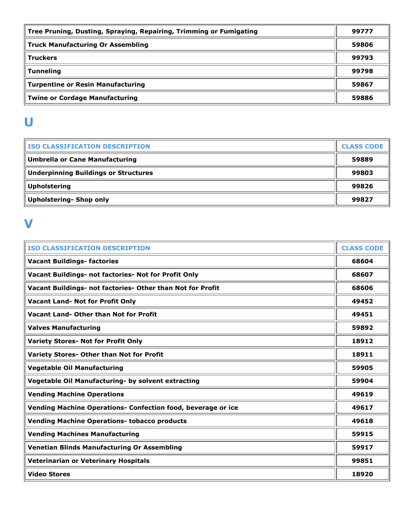| Tree Pruning, Dusting, Spraying, Repairing, Trimming or Fumigating | 99777 |
|--------------------------------------------------------------------|-------|
| <b>Truck Manufacturing Or Assembling</b>                           | 59806 |
| <b>Truckers</b>                                                    | 99793 |
| <b>Tunneling</b>                                                   | 99798 |
| <b>Turpentine or Resin Manufacturing</b>                           | 59867 |
| <b>Twine or Cordage Manufacturing</b>                              | 59886 |

## **U**

| <b>ISO CLASSIFICATION DESCRIPTION</b>       | <b>CLASS CODE</b> |
|---------------------------------------------|-------------------|
| <b>Umbrella or Cane Manufacturing</b>       | 59889             |
| <b>Underpinning Buildings or Structures</b> | 99803             |
| <b>Upholstering</b>                         | 99826             |
| <b>Upholstering- Shop only</b>              | 99827             |

#### **V**

| <b>ISO CLASSIFICATION DESCRIPTION</b>                        | <b>CLASS CODE</b> |
|--------------------------------------------------------------|-------------------|
| <b>Vacant Buildings- factories</b>                           | 68604             |
| Vacant Buildings- not factories- Not for Profit Only         | 68607             |
| Vacant Buildings- not factories- Other than Not for Profit   | 68606             |
| <b>Vacant Land- Not for Profit Only</b>                      | 49452             |
| Vacant Land- Other than Not for Profit                       | 49451             |
| <b>Valves Manufacturing</b>                                  | 59892             |
| <b>Variety Stores- Not for Profit Only</b>                   | 18912             |
| Variety Stores- Other than Not for Profit                    | 18911             |
| <b>Vegetable Oil Manufacturing</b>                           | 59905             |
| Vegetable Oil Manufacturing- by solvent extracting           | 59904             |
| <b>Vending Machine Operations</b>                            | 49619             |
| Vending Machine Operations- Confection food, beverage or ice | 49617             |
| <b>Vending Machine Operations- tobacco products</b>          | 49618             |
| <b>Vending Machines Manufacturing</b>                        | 59915             |
| <b>Venetian Blinds Manufacturing Or Assembling</b>           | 59917             |
| Veterinarian or Veterinary Hospitals                         | 99851             |
| <b>Video Stores</b>                                          | 18920             |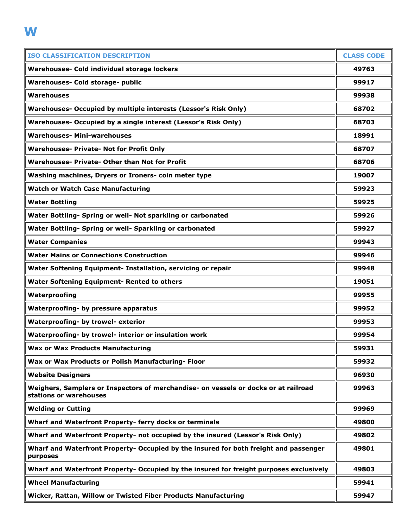| <b>ISO CLASSIFICATION DESCRIPTION</b>                                                                         | <b>CLASS CODE</b> |
|---------------------------------------------------------------------------------------------------------------|-------------------|
| Warehouses- Cold individual storage lockers                                                                   | 49763             |
| Warehouses- Cold storage- public                                                                              | 99917             |
| <b>Warehouses</b>                                                                                             | 99938             |
| Warehouses- Occupied by multiple interests (Lessor's Risk Only)                                               | 68702             |
| Warehouses- Occupied by a single interest (Lessor's Risk Only)                                                | 68703             |
| <b>Warehouses- Mini-warehouses</b>                                                                            | 18991             |
| <b>Warehouses- Private- Not for Profit Only</b>                                                               | 68707             |
| <b>Warehouses- Private- Other than Not for Profit</b>                                                         | 68706             |
| Washing machines, Dryers or Ironers- coin meter type                                                          | 19007             |
| <b>Watch or Watch Case Manufacturing</b>                                                                      | 59923             |
| <b>Water Bottling</b>                                                                                         | 59925             |
| Water Bottling- Spring or well- Not sparkling or carbonated                                                   | 59926             |
| Water Bottling- Spring or well- Sparkling or carbonated                                                       | 59927             |
| <b>Water Companies</b>                                                                                        | 99943             |
| <b>Water Mains or Connections Construction</b>                                                                | 99946             |
| Water Softening Equipment- Installation, servicing or repair                                                  | 99948             |
| <b>Water Softening Equipment- Rented to others</b>                                                            | 19051             |
| Waterproofing                                                                                                 | 99955             |
| Waterproofing- by pressure apparatus                                                                          | 99952             |
| Waterproofing- by trowel- exterior                                                                            | 99953             |
| Waterproofing- by trowel- interior or insulation work                                                         | 99954             |
| <b>Wax or Wax Products Manufacturing</b>                                                                      | 59931             |
| Wax or Wax Products or Polish Manufacturing- Floor                                                            | 59932             |
| <b>Website Designers</b>                                                                                      | 96930             |
| Weighers, Samplers or Inspectors of merchandise- on vessels or docks or at railroad<br>stations or warehouses | 99963             |
| <b>Welding or Cutting</b>                                                                                     | 99969             |
| Wharf and Waterfront Property- ferry docks or terminals                                                       | 49800             |
| Wharf and Waterfront Property- not occupied by the insured (Lessor's Risk Only)                               | 49802             |
| Wharf and Waterfront Property- Occupied by the insured for both freight and passenger<br>purposes             | 49801             |
| Wharf and Waterfront Property- Occupied by the insured for freight purposes exclusively                       | 49803             |
| <b>Wheel Manufacturing</b>                                                                                    | 59941             |
| Wicker, Rattan, Willow or Twisted Fiber Products Manufacturing                                                | 59947             |